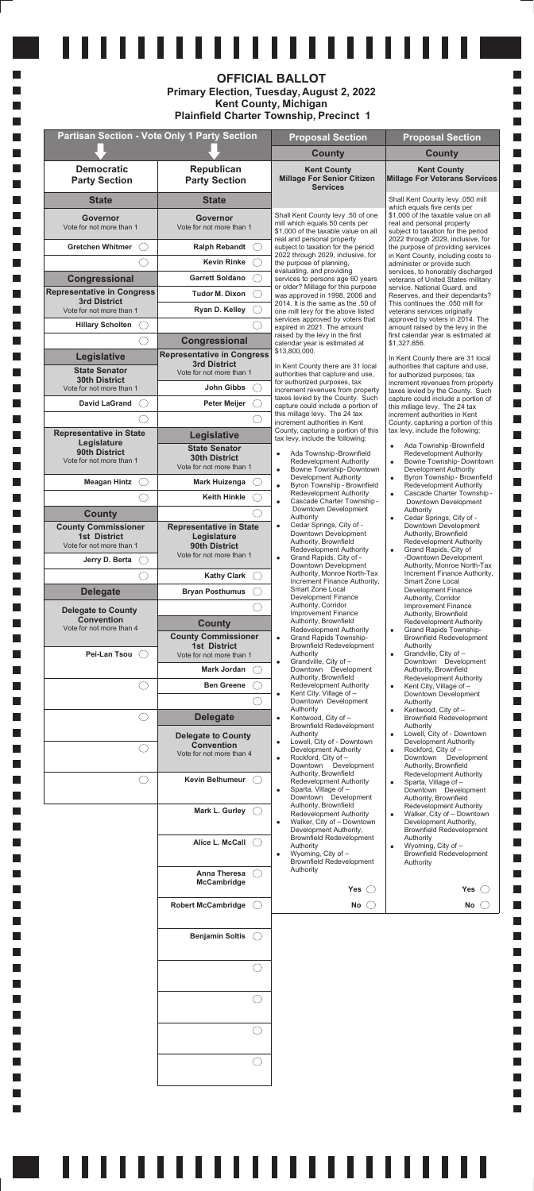|                                                          |                                                          | <b>OFFICIAL BALLOT</b><br>Primary Election, Tuesday, August 2, 2022<br><b>Kent County, Michigan</b><br><b>Plainfield Charter Township, Precinct 1</b> |                                                                                                         |
|----------------------------------------------------------|----------------------------------------------------------|-------------------------------------------------------------------------------------------------------------------------------------------------------|---------------------------------------------------------------------------------------------------------|
|                                                          | <b>Partisan Section - Vote Only 1 Party Section</b>      | <b>Proposal Section</b>                                                                                                                               | <b>Proposal Section</b>                                                                                 |
|                                                          |                                                          | <b>County</b>                                                                                                                                         | <b>County</b>                                                                                           |
| <b>Democratic</b><br><b>Party Section</b>                | <b>Republican</b><br><b>Party Section</b>                | <b>Kent County</b><br><b>Millage For Senior Citizen</b><br><b>Services</b>                                                                            | <b>Kent County</b><br>Millage For Veterans Services                                                     |
| <b>State</b>                                             | <b>State</b>                                             |                                                                                                                                                       | Shall Kent County levy .050 mill<br>which equals five cents per                                         |
| Governor<br>Vote for not more than 1                     | Governor<br>Vote for not more than 1                     | Shall Kent County levy .50 of one<br>mill which equals 50 cents per<br>\$1,000 of the taxable value on all                                            | \$1,000 of the taxable value on all<br>real and personal property<br>subject to taxation for the period |
| <b>Gretchen Whitmer</b>                                  | <b>Ralph Rebandt</b>                                     | real and personal property<br>subject to taxation for the period                                                                                      | 2022 through 2029, inclusive, for<br>the purpose of providing services                                  |
|                                                          | <b>Kevin Rinke</b>                                       | 2022 through 2029, inclusive, for<br>the purpose of planning,                                                                                         | in Kent County, including costs to<br>administer or provide such                                        |
| Congressional                                            | <b>Garrett Soldano</b>                                   | evaluating, and providing<br>services to persons age 60 years                                                                                         | services, to honorably discharged<br>veterans of United States military                                 |
| <b>Representative in Congress</b><br><b>3rd District</b> | <b>Tudor M. Dixon</b>                                    | or older? Millage for this purpose<br>was approved in 1998, 2006 and<br>2014. It is the same as the .50 of                                            | service, National Guard, and<br>Reserves, and their dependants?<br>This continues the .050 mill for     |
| Vote for not more than 1                                 | Ryan D. Kelley                                           | one mill levy for the above listed<br>services approved by voters that                                                                                | veterans services originally<br>approved by voters in 2014. The                                         |
| <b>Hillary Scholten</b>                                  |                                                          | expired in 2021. The amount<br>raised by the levy in the first                                                                                        | amount raised by the levy in the<br>first calendar year is estimated at                                 |
|                                                          | <b>Congressional</b>                                     | calendar year is estimated at<br>\$13,800,000.                                                                                                        | \$1,327,856.                                                                                            |
| Legislative                                              | <b>Representative in Congress</b><br><b>3rd District</b> | In Kent County there are 31 local                                                                                                                     | In Kent County there are 31 local<br>authorities that capture and use,                                  |
| <b>State Senator</b><br><b>30th District</b>             | Vote for not more than 1                                 | authorities that capture and use,<br>for authorized purposes, tax                                                                                     | for authorized purposes, tax<br>increment revenues from property                                        |
| Vote for not more than 1                                 | John Gibbs                                               | increment revenues from property<br>taxes levied by the County. Such                                                                                  | taxes levied by the County. Such<br>capture could include a portion of                                  |
| <b>David LaGrand</b>                                     | <b>Peter Meijer</b>                                      | capture could include a portion of<br>this millage levy. The 24 tax                                                                                   | this millage levy. The 24 tax<br>increment authorities in Kent                                          |
| <b>Representative in State</b>                           | Legislative                                              | increment authorities in Kent<br>County, capturing a portion of this                                                                                  | County, capturing a portion of this<br>tax levy, include the following:                                 |
| Legislature<br>90th District                             | <b>State Senator</b>                                     | tax levy, include the following:                                                                                                                      | Ada Township-Brownfield<br>$\bullet$                                                                    |
| Vote for not more than 1                                 | <b>30th District</b><br>Vote for not more than 1         | Ada Township-Brownfield<br>٠<br>Redevelopment Authority<br>Bowne Township-Downtown<br>$\bullet$                                                       | <b>Redevelopment Authority</b><br>Bowne Township-Downtown<br>$\bullet$<br>Development Authority         |
| <b>Meagan Hintz</b>                                      | <b>Mark Huizenga</b>                                     | Development Authority<br>Byron Township - Brownfield<br>$\bullet$                                                                                     | Byron Township - Brownfield<br>$\bullet$<br>Redevelopment Authority                                     |
|                                                          | <b>Keith Hinkle</b>                                      | Redevelopment Authority<br>Cascade Charter Township -<br>٠                                                                                            | Cascade Charter Township-<br>$\bullet$<br>Downtown Development                                          |
| <b>County</b>                                            |                                                          | Downtown Development<br>Authority                                                                                                                     | Authority<br>Cedar Springs, City of -<br>۰                                                              |
| <b>County Commissioner</b><br><b>1st District</b>        | <b>Representative in State</b><br>Legislature            | Cedar Springs, City of -<br>٠<br>Downtown Development                                                                                                 | Downtown Development<br>Authority, Brownfield                                                           |
| Vote for not more than 1                                 | 90th District<br>Vote for not more than 1                | Authority, Brownfield<br>Redevelopment Authority<br>Grand Rapids, City of -                                                                           | Redevelopment Authority<br>Grand Rapids, City of<br>٠                                                   |
| Jerry D. Berta                                           |                                                          | $\bullet$<br>Downtown Development<br>Authority, Monroe North-Tax                                                                                      | -Downtown Development<br>Authority, Monroe North-Tax<br>Increment Finance Authority,                    |
|                                                          | <b>Kathy Clark</b>                                       | Increment Finance Authority,<br>Smart Zone Local                                                                                                      | Smart Zone Local<br>Development Finance                                                                 |
| <b>Delegate</b>                                          | <b>Bryan Posthumus</b>                                   | <b>Development Finance</b><br>Authority, Corridor                                                                                                     | Authority, Corridor<br><b>Improvement Finance</b>                                                       |
| <b>Delegate to County</b><br><b>Convention</b>           | <b>County</b>                                            | Improvement Finance<br>Authority, Brownfield                                                                                                          | Authority, Brownfield<br><b>Redevelopment Authority</b>                                                 |
| Vote for not more than 4                                 | <b>County Commissioner</b>                               | Redevelopment Authority<br>Grand Rapids Township-<br>$\bullet$                                                                                        | Grand Rapids Township-<br><b>Brownfield Redevelopment</b>                                               |
| Pei-Lan Tsou                                             | <b>1st District</b><br>Vote for not more than 1          | <b>Brownfield Redevelopment</b><br>Authority                                                                                                          | Authority<br>Grandville, City of -<br>$\bullet$                                                         |
|                                                          | <b>Mark Jordan</b>                                       | Grandville, City of -<br>$\bullet$<br>Downtown Development                                                                                            | Downtown Development<br>Authority, Brownfield                                                           |
|                                                          | <b>Ben Greene</b>                                        | Authority, Brownfield<br>Redevelopment Authority                                                                                                      | Redevelopment Authority<br>Kent City, Village of -<br>$\bullet$                                         |
|                                                          |                                                          | Kent City, Village of -<br>$\bullet$<br>Downtown Development                                                                                          | Downtown Development<br>Authority                                                                       |
|                                                          | <b>Delegate</b>                                          | Authority<br>Kentwood, City of -<br>٠                                                                                                                 | Kentwood, City of -<br>۰<br><b>Brownfield Redevelopment</b>                                             |
|                                                          | <b>Delegate to County</b>                                | <b>Brownfield Redevelopment</b><br>Authority                                                                                                          | Authority<br>Lowell, City of - Downtown<br>$\bullet$                                                    |
|                                                          | <b>Convention</b><br>Vote for not more than 4            | Lowell, City of - Downtown<br>$\bullet$<br>Development Authority                                                                                      | Development Authority<br>Rockford, City of -<br>$\bullet$                                               |
|                                                          |                                                          | Rockford, City of -<br>$\bullet$<br>Downtown Development                                                                                              | Downtown Development<br>Authority, Brownfield                                                           |
|                                                          | <b>Kevin Belhumeur</b>                                   | Authority, Brownfield<br>Redevelopment Authority                                                                                                      | <b>Redevelopment Authority</b><br>Sparta, Village of -                                                  |

 $\mathcal{L}_{\mathcal{A}}$ 

 $\mathcal{L}_{\mathcal{A}}$ 

H  $\mathcal{L}_{\mathcal{A}}$ 

 $\mathcal{L}_{\mathcal{A}}$ 

 $\mathcal{L}_{\mathcal{A}}$  $\mathcal{L}_{\mathcal{A}}$ 

 $\mathcal{L}_{\mathcal{A}}$  $\mathcal{L}_{\mathcal{A}}$ 

 $\mathcal{L}_{\mathcal{A}}$ 

 $\mathcal{L}_{\mathcal{A}}$ 

 $\mathcal{L}_{\mathcal{A}}$ 

 $\mathcal{L}_{\mathcal{A}}$ 

 $\mathcal{L}_{\mathcal{A}}$ 

 $\mathcal{L}_{\mathcal{A}}$ 

 $\mathcal{L}_{\mathcal{A}}$ 

 $\mathcal{L}_{\mathcal{A}}$ 

 $\mathcal{L}_{\mathcal{A}}$ 

 $\mathcal{L}_{\mathcal{A}}$ 

 $\mathcal{L}_{\mathcal{A}}$ 

 $\mathcal{L}_{\mathcal{A}}$ 

 $\mathcal{L}_{\mathcal{A}}$ 

 $\mathcal{L}_{\mathcal{A}}$ 

 $\mathcal{L}_{\mathcal{A}}$ 

 $\mathcal{L}_{\mathcal{A}}$ 

 $\mathcal{L}_{\mathcal{A}}$ 

 $\mathcal{L}_{\mathcal{A}}$ 

 $\mathcal{L}_{\mathcal{A}}$ 

 $\mathcal{L}_{\mathcal{A}}$ 

 $\mathcal{L}_{\mathcal{A}}$ 

 $\mathcal{L}_{\mathcal{A}}$ 

 $\mathcal{L}_{\mathcal{A}}$ 

 $\mathcal{L}_{\mathcal{A}}$ 

 $\mathcal{L}_{\mathcal{A}}$ 

 $\mathcal{L}_{\mathcal{A}}$ 

 $\mathcal{L}_{\mathcal{A}}$ 

 $\mathcal{L}_{\mathcal{A}}$ 

 $\mathcal{L}_{\mathcal{A}}$ 

 $\mathcal{L}_{\mathcal{A}}$ 

 $\mathcal{L}_{\mathcal{A}}$ 

П

H

H H

H  $\Box$   $\mathcal{L}_{\mathcal{A}}$  $\overline{\phantom{a}}$ 

 $\overline{\phantom{a}}$ 

 $\overline{\phantom{a}}$  $\overline{\phantom{a}}$ 

 $\overline{\phantom{a}}$ 

 $\mathcal{L}_{\mathcal{A}}$  $\overline{\phantom{a}}$ 

 $\mathcal{L}_{\mathcal{A}}$ 

 $\mathcal{L}_{\mathcal{A}}$ 

 $\Box$ 

 $\Box$ 

 $\Box$ 

 $\Box$ 

 $\Box$ 

 $\Box$ 

 $\Box$ 

 $\Box$ 

 $\Box$ 

 $\Box$ 

 $\Box$ 

 $\Box$ 

 $\Box$ 

 $\Box$ 

 $\Box$ 

 $\Box$ 

 $\Box$ 

 $\Box$ 

 $\Box$ 

 $\Box$ 

 $\Box$ 

 $\Box$ 

 $\Box$ 

 $\Box$ 

 $\Box$ 

 $\Box$ 

 $\Box$ 

 $\Box$ 

 $\Box$ 

 $\Box$  $\Box$ 

 $\Box$ 

 $\Box$ 

 $\Box$  $\Box$ 

| <b>Kevin Belhumeur</b><br>Mark L. Gurley O<br>Alice L. McCall<br><b>Anna Theresa</b><br>McCambridge | $($ )<br>$\bigcirc$ | Authority, Brownfield<br>Redevelopment Authority<br>Sparta, Village of -<br>$\bullet$<br>Downtown Development<br>Authority, Brownfield<br><b>Redevelopment Authority</b><br>Walker, City of - Downtown<br>$\bullet$<br>Development Authority,<br><b>Brownfield Redevelopment</b><br>Authority<br>Wyoming, City of -<br>$\bullet$<br>Brownfield Redevelopment<br>Authority<br>Yes $\bigcirc$ | Redevelopment Authority<br>Sparta, Village of -<br>$\bullet$<br>Downtown Development<br>Authority, Brownfield<br><b>Redevelopment Authority</b><br>Walker, City of - Downtown<br>$\bullet$<br>Development Authority,<br>Brownfield Redevelopment<br>Authority<br>Wyoming, City of -<br>$\bullet$<br>Brownfield Redevelopment<br>Authority<br>Yes $\bigcirc$ |
|-----------------------------------------------------------------------------------------------------|---------------------|---------------------------------------------------------------------------------------------------------------------------------------------------------------------------------------------------------------------------------------------------------------------------------------------------------------------------------------------------------------------------------------------|-------------------------------------------------------------------------------------------------------------------------------------------------------------------------------------------------------------------------------------------------------------------------------------------------------------------------------------------------------------|
| <b>Robert McCambridge</b>                                                                           | $\bigcirc$          | No $\bigcirc$                                                                                                                                                                                                                                                                                                                                                                               | No $\bigcirc$                                                                                                                                                                                                                                                                                                                                               |
| <b>Benjamin Soltis</b>                                                                              | ( )                 |                                                                                                                                                                                                                                                                                                                                                                                             |                                                                                                                                                                                                                                                                                                                                                             |
|                                                                                                     |                     |                                                                                                                                                                                                                                                                                                                                                                                             |                                                                                                                                                                                                                                                                                                                                                             |
|                                                                                                     | 2                   |                                                                                                                                                                                                                                                                                                                                                                                             |                                                                                                                                                                                                                                                                                                                                                             |
|                                                                                                     | ◯                   |                                                                                                                                                                                                                                                                                                                                                                                             |                                                                                                                                                                                                                                                                                                                                                             |
|                                                                                                     | 0                   |                                                                                                                                                                                                                                                                                                                                                                                             |                                                                                                                                                                                                                                                                                                                                                             |
|                                                                                                     |                     |                                                                                                                                                                                                                                                                                                                                                                                             |                                                                                                                                                                                                                                                                                                                                                             |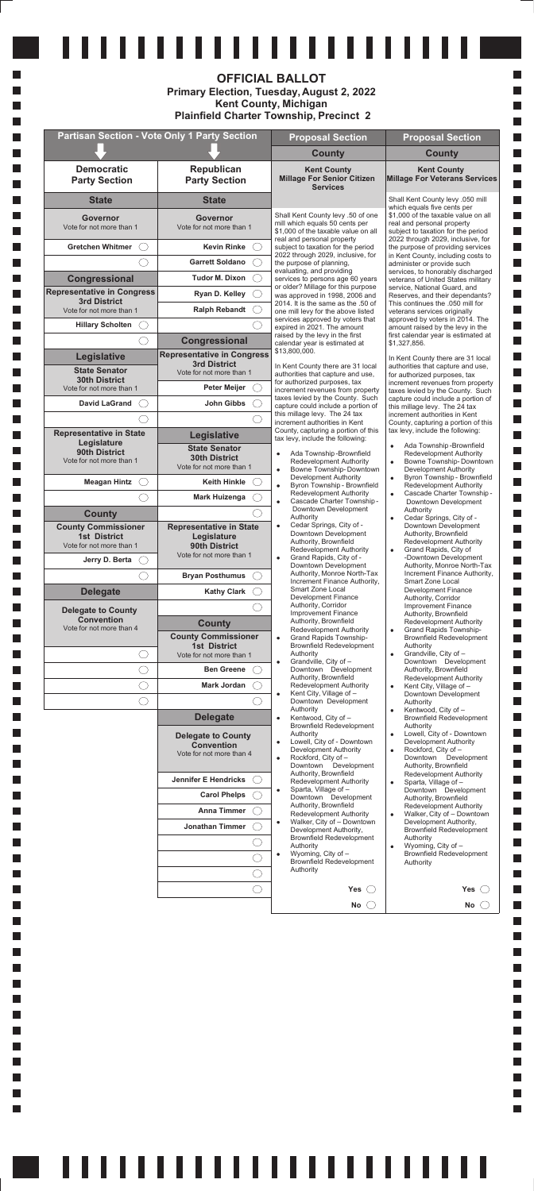|                        |                                                            | Oparta, villago or                                                 |
|------------------------|------------------------------------------------------------|--------------------------------------------------------------------|
| <b>Carol Phelps</b>    | Sparta, Village of -<br>٠<br>Downtown Development          | Downtown Development<br>Authority, Brownfield                      |
| <b>Anna Timmer</b>     | Authority, Brownfield<br>Redevelopment Authority           | Redevelopment Authority<br>Walker, City of - Downtown<br>$\bullet$ |
| <b>Jonathan Timmer</b> | Walker, City of - Downtown<br>٠<br>Development Authority,  | Development Authority,<br><b>Brownfield Redevelopment</b>          |
|                        | <b>Brownfield Redevelopment</b><br>Authority               | Authority<br>Wyoming, City of -<br>٠                               |
|                        | Wyoming, City of -<br>٠<br><b>Brownfield Redevelopment</b> | <b>Brownfield Redevelopment</b><br>Authority                       |
|                        | Authority                                                  |                                                                    |
|                        | Yes(                                                       | Yes(                                                               |
|                        | No                                                         | No                                                                 |

<u> 1111111111111111111111111</u>

| ,,,,,,,,,,,,,,,,,,,<br><b>OFFICIAL BALLOT</b><br>Primary Election, Tuesday, August 2, 2022<br><b>Kent County, Michigan</b><br><b>Plainfield Charter Township, Precinct 2</b> |                                                                            |                                                                                                                                               |                                                                                                                     |
|------------------------------------------------------------------------------------------------------------------------------------------------------------------------------|----------------------------------------------------------------------------|-----------------------------------------------------------------------------------------------------------------------------------------------|---------------------------------------------------------------------------------------------------------------------|
|                                                                                                                                                                              | <b>Partisan Section - Vote Only 1 Party Section</b>                        | <b>Proposal Section</b>                                                                                                                       | <b>Proposal Section</b>                                                                                             |
|                                                                                                                                                                              |                                                                            | <b>County</b>                                                                                                                                 | <b>County</b>                                                                                                       |
| <b>Democratic</b><br><b>Party Section</b>                                                                                                                                    | Republican<br><b>Party Section</b>                                         | <b>Kent County</b><br><b>Millage For Senior Citizen</b><br><b>Services</b>                                                                    | <b>Kent County</b><br><b>Millage For Veterans Services</b>                                                          |
| <b>State</b>                                                                                                                                                                 | <b>State</b>                                                               |                                                                                                                                               | Shall Kent County levy .050 mill<br>which equals five cents per                                                     |
| Governor<br>Vote for not more than 1                                                                                                                                         | <b>Governor</b><br>Vote for not more than 1                                | Shall Kent County levy .50 of one<br>mill which equals 50 cents per<br>\$1,000 of the taxable value on all                                    | \$1,000 of the taxable value on all<br>real and personal property<br>subject to taxation for the period             |
| <b>Gretchen Whitmer</b>                                                                                                                                                      | <b>Kevin Rinke</b>                                                         | real and personal property<br>subject to taxation for the period                                                                              | 2022 through 2029, inclusive, for<br>the purpose of providing services                                              |
|                                                                                                                                                                              | <b>Garrett Soldano</b>                                                     | 2022 through 2029, inclusive, for<br>the purpose of planning,                                                                                 | in Kent County, including costs to<br>administer or provide such                                                    |
| Congressional                                                                                                                                                                | <b>Tudor M. Dixon</b>                                                      | evaluating, and providing<br>services to persons age 60 years                                                                                 | services, to honorably discharged<br>veterans of United States military                                             |
| <b>Representative in Congress</b>                                                                                                                                            | Ryan D. Kelley                                                             | or older? Millage for this purpose<br>was approved in 1998, 2006 and                                                                          | service, National Guard, and<br>Reserves, and their dependants?                                                     |
| <b>3rd District</b><br>Vote for not more than 1                                                                                                                              | <b>Ralph Rebandt</b>                                                       | 2014. It is the same as the .50 of<br>one mill levy for the above listed                                                                      | This continues the .050 mill for<br>veterans services originally                                                    |
| <b>Hillary Scholten</b>                                                                                                                                                      |                                                                            | services approved by voters that<br>expired in 2021. The amount                                                                               | approved by voters in 2014. The<br>amount raised by the levy in the                                                 |
|                                                                                                                                                                              | Congressional                                                              | raised by the levy in the first<br>calendar year is estimated at                                                                              | first calendar year is estimated at<br>\$1,327,856.                                                                 |
| Legislative                                                                                                                                                                  | <b>Representative in Congress</b><br><b>3rd District</b>                   | \$13,800,000.                                                                                                                                 | In Kent County there are 31 local                                                                                   |
| <b>State Senator</b><br><b>30th District</b>                                                                                                                                 | Vote for not more than 1                                                   | In Kent County there are 31 local<br>authorities that capture and use,                                                                        | authorities that capture and use,<br>for authorized purposes, tax                                                   |
| Vote for not more than 1                                                                                                                                                     | Peter Meijer                                                               | for authorized purposes, tax<br>increment revenues from property                                                                              | increment revenues from property<br>taxes levied by the County. Such                                                |
| <b>David LaGrand</b>                                                                                                                                                         | John Gibbs                                                                 | taxes levied by the County. Such<br>capture could include a portion of                                                                        | capture could include a portion of<br>this millage levy. The 24 tax                                                 |
|                                                                                                                                                                              |                                                                            | this millage levy. The 24 tax<br>increment authorities in Kent                                                                                | increment authorities in Kent<br>County, capturing a portion of this                                                |
| <b>Representative in State</b><br>Legislature                                                                                                                                | Legislative                                                                | County, capturing a portion of this<br>tax levy, include the following:                                                                       | tax levy, include the following:                                                                                    |
| 90th District<br>Vote for not more than 1                                                                                                                                    | <b>State Senator</b><br><b>30th District</b><br>Vote for not more than 1   | Ada Township-Brownfield<br>$\bullet$<br><b>Redevelopment Authority</b><br>Bowne Township-Downtown<br>$\bullet$                                | Ada Township-Brownfield<br>Redevelopment Authority<br>Bowne Township-Downtown<br>$\bullet$<br>Development Authority |
| <b>Meagan Hintz</b><br>( )                                                                                                                                                   | <b>Keith Hinkle</b>                                                        | Development Authority<br>Byron Township - Brownfield<br>$\bullet$                                                                             | Byron Township - Brownfield<br>$\bullet$<br>Redevelopment Authority                                                 |
|                                                                                                                                                                              | <b>Mark Huizenga</b>                                                       | Redevelopment Authority<br>Cascade Charter Township -<br>$\bullet$                                                                            | Cascade Charter Township-<br>Downtown Development                                                                   |
| <b>County</b>                                                                                                                                                                |                                                                            | Downtown Development<br>Authority                                                                                                             | Authority<br>Cedar Springs, City of -<br>$\bullet$                                                                  |
| <b>County Commissioner</b>                                                                                                                                                   | <b>Representative in State</b>                                             | Cedar Springs, City of -<br>$\bullet$<br>Downtown Development                                                                                 | Downtown Development<br>Authority, Brownfield                                                                       |
| <b>1st District</b><br>Vote for not more than 1                                                                                                                              | Legislature<br>90th District                                               | Authority, Brownfield<br><b>Redevelopment Authority</b>                                                                                       | Redevelopment Authority<br>Grand Rapids, City of<br>$\bullet$                                                       |
| Jerry D. Berta                                                                                                                                                               | Vote for not more than 1                                                   | Grand Rapids, City of -<br>Downtown Development                                                                                               | -Downtown Development<br>Authority, Monroe North-Tax                                                                |
|                                                                                                                                                                              | <b>Bryan Posthumus</b>                                                     | Authority, Monroe North-Tax<br>Increment Finance Authority,                                                                                   | Increment Finance Authority,<br>Smart Zone Local                                                                    |
| <b>Delegate</b>                                                                                                                                                              | <b>Kathy Clark</b>                                                         | Smart Zone Local<br><b>Development Finance</b>                                                                                                | Development Finance<br>Authority, Corridor                                                                          |
| <b>Delegate to County</b>                                                                                                                                                    |                                                                            | Authority, Corridor<br>Improvement Finance                                                                                                    | Improvement Finance<br>Authority, Brownfield                                                                        |
| <b>Convention</b><br>Vote for not more than 4                                                                                                                                | <b>County</b>                                                              | Authority, Brownfield<br>Redevelopment Authority                                                                                              | <b>Redevelopment Authority</b><br>Grand Rapids Township-                                                            |
|                                                                                                                                                                              | <b>County Commissioner</b><br><b>1st District</b>                          | Grand Rapids Township-<br>$\bullet$<br><b>Brownfield Redevelopment</b>                                                                        | <b>Brownfield Redevelopment</b><br>Authority                                                                        |
| . . )                                                                                                                                                                        | Vote for not more than 1                                                   | Authority<br>Grandville, City of -<br>$\bullet$                                                                                               | Grandville, City of -<br>$\bullet$<br>Downtown Development                                                          |
| $\Box$                                                                                                                                                                       | <b>Ben Greene</b>                                                          | Downtown Development<br>Authority, Brownfield                                                                                                 | Authority, Brownfield                                                                                               |
| ○                                                                                                                                                                            | Mark Jordan                                                                | <b>Redevelopment Authority</b>                                                                                                                | <b>Redevelopment Authority</b><br>Kent City, Village of -<br>$\bullet$                                              |
| 3                                                                                                                                                                            |                                                                            | Kent City, Village of -<br>$\bullet$<br>Downtown Development                                                                                  | Downtown Development<br>Authority                                                                                   |
|                                                                                                                                                                              | <b>Delegate</b>                                                            | Authority<br>Kentwood, City of -<br>$\bullet$                                                                                                 | Kentwood, City of -<br>$\bullet$<br><b>Brownfield Redevelopment</b>                                                 |
|                                                                                                                                                                              | <b>Delegate to County</b><br><b>Convention</b><br>Vote for not more than 4 | Brownfield Redevelopment<br>Authority<br>Lowell, City of - Downtown<br>$\bullet$<br>Development Authority<br>Rockford, City of -<br>$\bullet$ | Authority<br>Lowell, City of - Downtown<br>Development Authority<br>Rockford, City of -<br>Downtown Development     |
|                                                                                                                                                                              | <b>Jennifer E Hendricks</b>                                                | Downtown Development<br>Authority, Brownfield<br>Redevelopment Authority                                                                      | Authority, Brownfield<br><b>Redevelopment Authority</b><br>Sparta, Village of -                                     |

 $\mathcal{L}_{\mathcal{A}}$ 

 $\mathcal{L}_{\mathcal{A}}$ 

m.  $\mathcal{L}_{\mathcal{A}}$ 

H  $\overline{\phantom{a}}$ 

m.  $\mathcal{L}_{\mathcal{A}}$ 

m.  $\mathcal{L}_{\mathcal{A}}$ 

m.  $\mathcal{L}_{\mathcal{A}}$ 

m.  $\mathcal{L}_{\mathcal{A}}$ 

H

 $\mathcal{L}_{\mathcal{A}}$ 

m.  $\mathcal{L}_{\mathcal{A}}$ 

H  $\mathcal{L}_{\mathcal{A}}$ 

m.  $\mathcal{L}_{\mathcal{A}}$ 

H  $\mathcal{L}_{\mathcal{A}}$ 

m.

 $\mathcal{L}_{\mathcal{A}}$ 

H  $\mathcal{L}_{\mathcal{A}}$ 

m.  $\mathcal{L}_{\mathcal{A}}$ 

H  $\mathcal{L}_{\mathcal{A}}$ 

m.  $\mathcal{L}_{\mathcal{A}}$ 

H

 $\mathcal{L}_{\mathcal{A}}$ 

m.  $\mathcal{L}_{\mathcal{A}}$ 

H  $\mathcal{L}_{\mathcal{A}}$ 

H

H

H H

 $\mathcal{L}_{\mathcal{A}}$ I.

 $\mathcal{L}_{\mathcal{A}}$ 

L.

L.

L.

L.

L.

L.

L.

L. L.

L.

I.

L.

I. L.

I.

L.

I.

L. L.

L.

 $\overline{\phantom{a}}$ 

 $\Box$ 

 $\Box$ 

 $\Box$ 

 $\Box$ 

 $\Box$  $\Box$ 

 $\Box$  $\Box$ 

 $\Box$  $\Box$ 

 $\Box$  $\Box$ 

 $\Box$ 

 $\Box$ 

 $\Box$  $\Box$ 

 $\Box$  $\Box$ 

 $\Box$  $\Box$ 

 $\Box$  $\Box$ 

 $\Box$ 

 $\Box$ 

 $\Box$  $\Box$ 

 $\Box$  $\Box$ 

 $\Box$  $\Box$ 

 $\Box$  $\Box$ 

 $\Box$ 

 $\Box$ 

 $\Box$  $\Box$ 

 $\Box$  $\Box$ 

 $\Box$ 

 $\Box$  $\Box$ 

 $\Box$ 

 $\Box$  $\Box$ 

 $\Box$ 

 $\Box$ 

**Contract** a ka

 $\Box$ 

**Contract** 

П

П

 $\Box$ 

П

П  $\Box$ 

П

 $\Box$ 

 $\Box$ 

**Contract** П

 $\Box$ 

 $\Box$ 

П

П П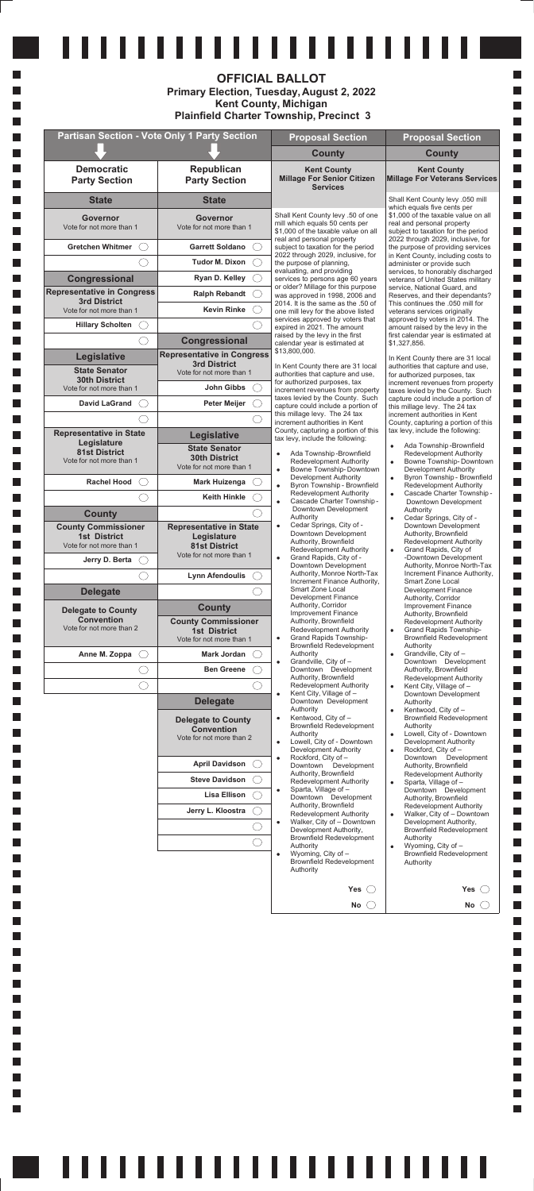| Lisa Ellison<br>Jerry L. Kloostra | Sparta, Village of -<br>Downtown Development<br>Authority, Brownfield<br>Redevelopment Authority<br>Walker, City of - Downtown<br>٠<br>Development Authority,<br><b>Brownfield Redevelopment</b><br>Authority<br>Wyoming, City of -<br>٠<br><b>Brownfield Redevelopment</b><br>Authority | Downtown Development<br>Authority, Brownfield<br><b>Redevelopment Authority</b><br>Walker, City of - Downtown<br>$\bullet$<br>Development Authority,<br><b>Brownfield Redevelopment</b><br>Authority<br>Wyoming, City of -<br>٠<br><b>Brownfield Redevelopment</b><br>Authority |
|-----------------------------------|------------------------------------------------------------------------------------------------------------------------------------------------------------------------------------------------------------------------------------------------------------------------------------------|---------------------------------------------------------------------------------------------------------------------------------------------------------------------------------------------------------------------------------------------------------------------------------|
|                                   | Yes                                                                                                                                                                                                                                                                                      | Yes                                                                                                                                                                                                                                                                             |
|                                   | No.                                                                                                                                                                                                                                                                                      | No                                                                                                                                                                                                                                                                              |

# <u> 111111111111111111111111</u>

|                                                                               | .                                                                                                 | <b>OFFICIAL BALLOT</b><br>Primary Election, Tuesday, August 2, 2022<br><b>Kent County, Michigan</b><br><b>Plainfield Charter Township, Precinct 3</b> |                                                                                                                                                                             |
|-------------------------------------------------------------------------------|---------------------------------------------------------------------------------------------------|-------------------------------------------------------------------------------------------------------------------------------------------------------|-----------------------------------------------------------------------------------------------------------------------------------------------------------------------------|
|                                                                               | <b>Partisan Section - Vote Only 1 Party Section</b>                                               | <b>Proposal Section</b>                                                                                                                               | <b>Proposal Section</b>                                                                                                                                                     |
|                                                                               |                                                                                                   | <b>County</b>                                                                                                                                         | <b>County</b>                                                                                                                                                               |
| <b>Democratic</b><br><b>Party Section</b>                                     | Republican<br><b>Party Section</b>                                                                | <b>Kent County</b><br><b>Millage For Senior Citizen</b><br><b>Services</b>                                                                            | <b>Kent County</b><br><b>Millage For Veterans Services</b>                                                                                                                  |
| <b>State</b>                                                                  | <b>State</b>                                                                                      |                                                                                                                                                       | Shall Kent County levy .050 mill                                                                                                                                            |
| Governor<br>Vote for not more than 1                                          | <b>Governor</b><br>Vote for not more than 1                                                       | Shall Kent County levy .50 of one<br>mill which equals 50 cents per<br>\$1,000 of the taxable value on all<br>real and personal property              | which equals five cents per<br>\$1,000 of the taxable value on all<br>real and personal property<br>subject to taxation for the period<br>2022 through 2029, inclusive, for |
| <b>Gretchen Whitmer</b>                                                       | <b>Garrett Soldano</b>                                                                            | subject to taxation for the period<br>2022 through 2029, inclusive, for                                                                               | the purpose of providing services                                                                                                                                           |
|                                                                               | <b>Tudor M. Dixon</b>                                                                             | the purpose of planning,<br>evaluating, and providing                                                                                                 | in Kent County, including costs to<br>administer or provide such                                                                                                            |
| Congressional                                                                 | Ryan D. Kelley                                                                                    | services to persons age 60 years                                                                                                                      | services, to honorably discharged<br>veterans of United States military                                                                                                     |
| <b>Representative in Congress</b><br><b>3rd District</b>                      | <b>Ralph Rebandt</b>                                                                              | or older? Millage for this purpose<br>was approved in 1998, 2006 and                                                                                  | service, National Guard, and<br>Reserves, and their dependants?                                                                                                             |
| Vote for not more than 1                                                      | <b>Kevin Rinke</b>                                                                                | 2014. It is the same as the .50 of<br>one mill levy for the above listed                                                                              | This continues the .050 mill for<br>veterans services originally                                                                                                            |
| <b>Hillary Scholten</b>                                                       |                                                                                                   | services approved by voters that<br>expired in 2021. The amount                                                                                       | approved by voters in 2014. The<br>amount raised by the levy in the                                                                                                         |
|                                                                               | Congressional                                                                                     | raised by the levy in the first<br>calendar year is estimated at                                                                                      | first calendar year is estimated at<br>\$1,327,856.                                                                                                                         |
| Legislative                                                                   | <b>Representative in Congress</b><br><b>3rd District</b>                                          | \$13,800,000.                                                                                                                                         | In Kent County there are 31 local                                                                                                                                           |
| <b>State Senator</b><br><b>30th District</b><br>Vote for not more than 1      | Vote for not more than 1<br>John Gibbs                                                            | In Kent County there are 31 local<br>authorities that capture and use,<br>for authorized purposes, tax<br>increment revenues from property            | authorities that capture and use,<br>for authorized purposes, tax<br>increment revenues from property                                                                       |
| <b>David LaGrand</b>                                                          | <b>Peter Meijer</b>                                                                               | taxes levied by the County. Such                                                                                                                      | taxes levied by the County. Such<br>capture could include a portion of                                                                                                      |
|                                                                               |                                                                                                   | capture could include a portion of<br>this millage levy. The 24 tax                                                                                   | this millage levy. The 24 tax<br>increment authorities in Kent                                                                                                              |
| <b>Representative in State</b><br>Legislature                                 | Legislative                                                                                       | increment authorities in Kent<br>County, capturing a portion of this<br>tax levy, include the following:                                              | County, capturing a portion of this<br>tax levy, include the following:                                                                                                     |
| <b>81st District</b><br>Vote for not more than 1                              | <b>State Senator</b><br><b>30th District</b><br>Vote for not more than 1                          | Ada Township-Brownfield<br><b>Redevelopment Authority</b><br>Bowne Township-Downtown<br>$\bullet$                                                     | Ada Township-Brownfield<br>$\bullet$<br><b>Redevelopment Authority</b><br>Bowne Township-Downtown<br>$\bullet$<br>Development Authority                                     |
| <b>Rachel Hood</b>                                                            | Mark Huizenga                                                                                     | Development Authority<br>Byron Township - Brownfield<br>$\bullet$                                                                                     | Byron Township - Brownfield<br>$\bullet$<br>Redevelopment Authority                                                                                                         |
|                                                                               | <b>Keith Hinkle</b>                                                                               | <b>Redevelopment Authority</b><br>Cascade Charter Township -<br>$\bullet$                                                                             | Cascade Charter Township -<br>$\bullet$<br>Downtown Development                                                                                                             |
| <b>County</b>                                                                 |                                                                                                   | Downtown Development<br>Authority                                                                                                                     | Authority<br>Cedar Springs, City of -<br>$\bullet$                                                                                                                          |
| <b>County Commissioner</b><br><b>1st District</b><br>Vote for not more than 1 | <b>Representative in State</b><br>Legislature<br><b>81st District</b><br>Vote for not more than 1 | Cedar Springs, City of -<br>$\bullet$<br>Downtown Development<br>Authority, Brownfield<br>Redevelopment Authority                                     | Downtown Development<br>Authority, Brownfield<br>Redevelopment Authority<br>Grand Rapids, City of<br>$\bullet$                                                              |
| Jerry D. Berta                                                                |                                                                                                   | Grand Rapids, City of -<br>Downtown Development                                                                                                       | -Downtown Development<br>Authority, Monroe North-Tax                                                                                                                        |
|                                                                               | <b>Lynn Afendoulis</b>                                                                            | Authority, Monroe North-Tax<br>Increment Finance Authority,                                                                                           | Increment Finance Authority,<br>Smart Zone Local                                                                                                                            |
| <b>Delegate</b>                                                               |                                                                                                   | Smart Zone Local<br><b>Development Finance</b>                                                                                                        | Development Finance<br>Authority, Corridor                                                                                                                                  |
| <b>Delegate to County</b><br><b>Convention</b>                                | <b>County</b>                                                                                     | Authority, Corridor<br><b>Improvement Finance</b>                                                                                                     | Improvement Finance<br>Authority, Brownfield                                                                                                                                |
| Vote for not more than 2                                                      | <b>County Commissioner</b><br><b>1st District</b>                                                 | Authority, Brownfield<br>Redevelopment Authority                                                                                                      | <b>Redevelopment Authority</b><br>Grand Rapids Township-<br>$\bullet$                                                                                                       |
|                                                                               | Vote for not more than 1                                                                          | <b>Grand Rapids Township-</b><br>$\bullet$<br><b>Brownfield Redevelopment</b>                                                                         | <b>Brownfield Redevelopment</b><br>Authority                                                                                                                                |
| Anne M. Zoppa<br>$($ )                                                        | Mark Jordan                                                                                       | Authority<br>Grandville, City of -<br>$\bullet$                                                                                                       | Grandville, City of -<br>$\bullet$<br>Downtown Development                                                                                                                  |
|                                                                               | <b>Ben Greene</b>                                                                                 | Downtown Development<br>Authority, Brownfield                                                                                                         | Authority, Brownfield<br>Redevelopment Authority                                                                                                                            |
|                                                                               |                                                                                                   | Redevelopment Authority<br>Kent City, Village of -<br>$\bullet$                                                                                       | Kent City, Village of -<br>$\bullet$<br>Downtown Development                                                                                                                |
|                                                                               | <b>Delegate</b>                                                                                   | Downtown Development<br>Authority                                                                                                                     | Authority<br>Kentwood, City of -<br>٠                                                                                                                                       |
|                                                                               | <b>Delegate to County</b><br><b>Convention</b>                                                    | Kentwood, City of -<br>$\bullet$<br><b>Brownfield Redevelopment</b>                                                                                   | <b>Brownfield Redevelopment</b><br>Authority                                                                                                                                |
|                                                                               | Vote for not more than 2                                                                          | Authority<br>Lowell, City of - Downtown                                                                                                               | Lowell, City of - Downtown<br>$\bullet$<br>Development Authority                                                                                                            |
|                                                                               | <b>April Davidson</b>                                                                             | Development Authority<br>Rockford, City of -<br>$\bullet$                                                                                             | Rockford, City of -<br>$\bullet$<br>Downtown Development                                                                                                                    |
|                                                                               | <b>Steve Davidson</b>                                                                             | Downtown Development<br>Authority, Brownfield<br>Redevelopment Authority                                                                              | Authority, Brownfield<br><b>Redevelopment Authority</b><br>Sparta, Village of -<br>$\bullet$                                                                                |
|                                                                               |                                                                                                   |                                                                                                                                                       |                                                                                                                                                                             |

 $\mathcal{L}_{\mathcal{A}}$ 

m.

И.  $\overline{\phantom{a}}$ 

H

m.

m.  $\overline{\phantom{a}}$ 

m.  $\mathcal{L}_{\mathcal{A}}$ 

m.

 $\overline{\phantom{a}}$ 

m.

 $\mathcal{L}_{\mathcal{A}}$ 

m.

 $\overline{\phantom{a}}$ 

m.

 $\mathcal{L}_{\mathcal{A}}$ 

m.

 $\overline{\phantom{a}}$ 

m.

 $\mathcal{L}_{\mathcal{A}}$ 

m.

 $\overline{\phantom{a}}$ 

m.

 $\mathcal{L}_{\mathcal{A}}$ 

m.

 $\overline{\phantom{a}}$ 

m.

 $\mathcal{L}_{\mathcal{A}}$ 

m.

 $\overline{\phantom{a}}$ 

m.

 $\mathcal{L}_{\mathcal{A}}$ 

m.

 $\overline{\phantom{a}}$ 

m.

m.

m.

 $\overline{\phantom{a}}$ 

L.

H H

H

 $\mathcal{L}_{\mathcal{A}}$ L.

 $\mathcal{L}_{\mathcal{A}}$ 

L.

L.

L.

L.

L.

L.

L.

L.

L.

L.

L.

L.

L.

L.

L.

L.

L.

L.

L.

L.

 $\Box$ 

 $\Box$ 

 $\Box$ 

 $\Box$ 

 $\Box$ 

 $\Box$ 

 $\Box$  $\Box$ 

 $\Box$ 

 $\Box$ 

 $\Box$ 

 $\Box$ 

 $\Box$ 

 $\Box$ 

 $\Box$ 

 $\Box$ 

 $\Box$ 

 $\Box$ 

 $\Box$ 

 $\Box$ 

 $\Box$ 

 $\Box$ 

 $\Box$ 

 $\Box$ 

 $\Box$ 

 $\Box$ 

 $\Box$ 

 $\Box$ 

 $\Box$ 

 $\Box$ 

 $\Box$ 

 $\Box$ 

 $\Box$ 

 $\Box$ 

 $\Box$ 

 $\Box$ 

 $\Box$ 

 $\Box$ 

 $\Box$ 

 $\Box$  $\Box$ 

 $\Box$ 

 $\Box$  $\Box$ 

 $\mathbb{R}^n$ 

 $\Box$  $\Box$ 

**Contract** 

П

 $\Box$ 

П

П

П

 $\Box$ 

П

П

П

 $\Box$ 

П

П

П

 $\Box$ 

П

П

П

 $\overline{\phantom{a}}$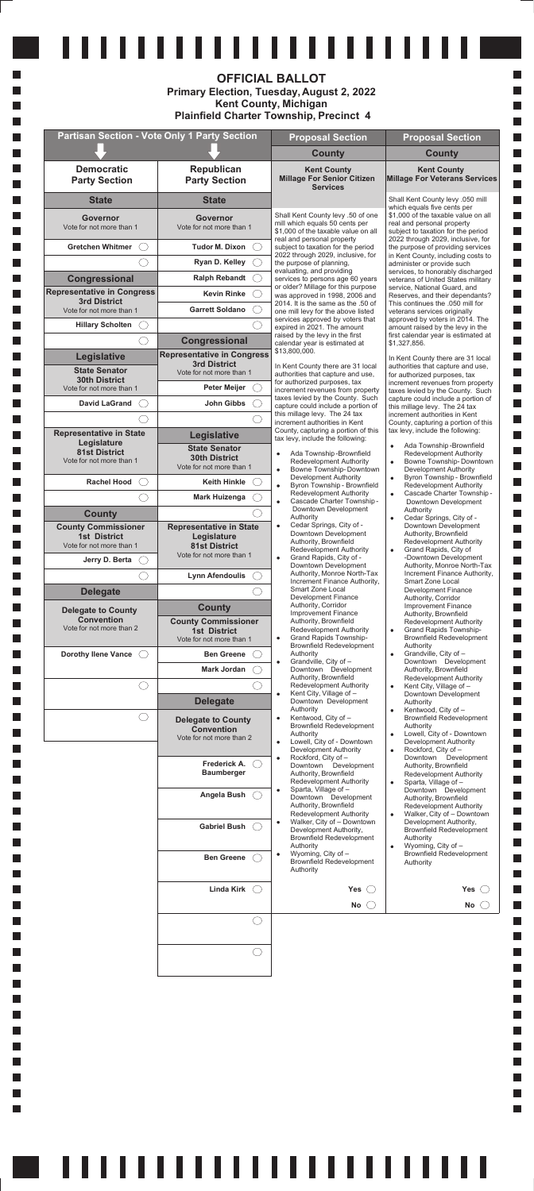|                                                                               | .                                                                                                 | .<br><b>OFFICIAL BALLOT</b><br>Primary Election, Tuesday, August 2, 2022<br><b>Kent County, Michigan</b><br><b>Plainfield Charter Township, Precinct 4</b>        |                                                                                                                                                                                          |
|-------------------------------------------------------------------------------|---------------------------------------------------------------------------------------------------|-------------------------------------------------------------------------------------------------------------------------------------------------------------------|------------------------------------------------------------------------------------------------------------------------------------------------------------------------------------------|
|                                                                               | <b>Partisan Section - Vote Only 1 Party Section</b>                                               | <b>Proposal Section</b>                                                                                                                                           | <b>Proposal Section</b>                                                                                                                                                                  |
|                                                                               |                                                                                                   | <b>County</b>                                                                                                                                                     | <b>County</b>                                                                                                                                                                            |
| <b>Democratic</b><br><b>Party Section</b>                                     | Republican<br><b>Party Section</b>                                                                | <b>Kent County</b><br><b>Millage For Senior Citizen</b><br><b>Services</b>                                                                                        | <b>Kent County</b><br><b>Millage For Veterans Services</b>                                                                                                                               |
| <b>State</b>                                                                  | <b>State</b>                                                                                      |                                                                                                                                                                   | Shall Kent County levy .050 mill                                                                                                                                                         |
| <b>Governor</b><br>Vote for not more than 1                                   | <b>Governor</b><br>Vote for not more than 1                                                       | Shall Kent County levy .50 of one<br>mill which equals 50 cents per<br>\$1,000 of the taxable value on all                                                        | which equals five cents per<br>\$1,000 of the taxable value on all<br>real and personal property<br>subject to taxation for the period                                                   |
| <b>Gretchen Whitmer</b>                                                       | <b>Tudor M. Dixon</b>                                                                             | real and personal property<br>subject to taxation for the period                                                                                                  | 2022 through 2029, inclusive, for<br>the purpose of providing services                                                                                                                   |
|                                                                               | Ryan D. Kelley                                                                                    | 2022 through 2029, inclusive, for<br>the purpose of planning.                                                                                                     | in Kent County, including costs to<br>administer or provide such                                                                                                                         |
| Congressional                                                                 | <b>Ralph Rebandt</b>                                                                              | evaluating, and providing<br>services to persons age 60 years                                                                                                     | services, to honorably discharged<br>veterans of United States military                                                                                                                  |
| <b>Representative in Congress</b>                                             | <b>Kevin Rinke</b>                                                                                | or older? Millage for this purpose<br>was approved in 1998, 2006 and                                                                                              | service, National Guard, and<br>Reserves, and their dependants?                                                                                                                          |
| <b>3rd District</b><br>Vote for not more than 1                               | <b>Garrett Soldano</b>                                                                            | 2014. It is the same as the .50 of<br>one mill levy for the above listed                                                                                          | This continues the .050 mill for<br>veterans services originally                                                                                                                         |
| <b>Hillary Scholten</b>                                                       |                                                                                                   | services approved by voters that<br>expired in 2021. The amount                                                                                                   | approved by voters in 2014. The<br>amount raised by the levy in the                                                                                                                      |
|                                                                               | <b>Congressional</b>                                                                              | raised by the levy in the first<br>calendar year is estimated at                                                                                                  | first calendar year is estimated at<br>\$1,327,856.                                                                                                                                      |
| <b>Legislative</b>                                                            | <b>Representative in Congress</b>                                                                 | \$13,800,000.                                                                                                                                                     | In Kent County there are 31 local                                                                                                                                                        |
| <b>State Senator</b><br><b>30th District</b><br>Vote for not more than 1      | <b>3rd District</b><br>Vote for not more than 1<br><b>Peter Meijer</b>                            | In Kent County there are 31 local<br>authorities that capture and use,<br>for authorized purposes, tax                                                            | authorities that capture and use,<br>for authorized purposes, tax<br>increment revenues from property                                                                                    |
| <b>David LaGrand</b>                                                          | <b>John Gibbs</b>                                                                                 | increment revenues from property<br>taxes levied by the County. Such                                                                                              | taxes levied by the County. Such<br>capture could include a portion of                                                                                                                   |
|                                                                               |                                                                                                   | capture could include a portion of<br>this millage levy. The 24 tax                                                                                               | this millage levy. The 24 tax<br>increment authorities in Kent                                                                                                                           |
| Representative in State                                                       | Legislative                                                                                       | increment authorities in Kent<br>County, capturing a portion of this                                                                                              | County, capturing a portion of this<br>tax levy, include the following:                                                                                                                  |
| Legislature<br><b>81st District</b><br>Vote for not more than 1               | <b>State Senator</b><br><b>30th District</b><br>Vote for not more than 1                          | tax levy, include the following:<br>Ada Township-Brownfield<br><b>Redevelopment Authority</b><br>Bowne Township-Downtown<br>$\bullet$                             | Ada Township-Brownfield<br>$\bullet$<br><b>Redevelopment Authority</b><br>Bowne Township-Downtown<br>$\bullet$<br>Development Authority                                                  |
| <b>Rachel Hood</b>                                                            | <b>Keith Hinkle</b>                                                                               | <b>Development Authority</b><br>Byron Township - Brownfield<br>$\bullet$                                                                                          | Byron Township - Brownfield<br>$\bullet$<br>Redevelopment Authority                                                                                                                      |
|                                                                               | <b>Mark Huizenga</b>                                                                              | <b>Redevelopment Authority</b><br>Cascade Charter Township -<br>$\bullet$                                                                                         | Cascade Charter Township -<br>$\bullet$<br>Downtown Development                                                                                                                          |
| <b>County</b>                                                                 |                                                                                                   | Downtown Development<br>Authority                                                                                                                                 | Authority<br>Cedar Springs, City of -<br>$\bullet$                                                                                                                                       |
| <b>County Commissioner</b><br><b>1st District</b><br>Vote for not more than 1 | <b>Representative in State</b><br>Legislature<br><b>81st District</b><br>Vote for not more than 1 | Cedar Springs, City of -<br>$\bullet$<br>Downtown Development<br>Authority, Brownfield<br>Redevelopment Authority                                                 | Downtown Development<br>Authority, Brownfield<br>Redevelopment Authority<br>Grand Rapids, City of<br>$\bullet$                                                                           |
| Jerry D. Berta                                                                |                                                                                                   | Grand Rapids, City of -<br>$\bullet$<br>Downtown Development                                                                                                      | -Downtown Development<br>Authority, Monroe North-Tax                                                                                                                                     |
|                                                                               | <b>Lynn Afendoulis</b>                                                                            | Authority, Monroe North-Tax<br>Increment Finance Authority,                                                                                                       | Increment Finance Authority,<br>Smart Zone Local                                                                                                                                         |
| <b>Delegate</b><br><b>Delegate to County</b>                                  | <b>County</b>                                                                                     | Smart Zone Local<br><b>Development Finance</b><br>Authority, Corridor<br><b>Improvement Finance</b>                                                               | Development Finance<br>Authority, Corridor<br>Improvement Finance<br>Authority, Brownfield                                                                                               |
| <b>Convention</b><br>Vote for not more than 2                                 | <b>County Commissioner</b><br><b>1st District</b><br>Vote for not more than 1                     | Authority, Brownfield<br>Redevelopment Authority<br><b>Grand Rapids Township-</b><br>$\bullet$<br><b>Brownfield Redevelopment</b>                                 | <b>Redevelopment Authority</b><br>Grand Rapids Township-<br>$\bullet$<br>Brownfield Redevelopment<br>Authority                                                                           |
| <b>Dorothy Ilene Vance</b>                                                    | <b>Ben Greene</b>                                                                                 | Authority<br>Grandville, City of -<br>$\bullet$                                                                                                                   | Grandville, City of -<br>$\bullet$<br>Downtown Development                                                                                                                               |
|                                                                               | Mark Jordan                                                                                       | Downtown Development<br>Authority, Brownfield                                                                                                                     | Authority, Brownfield<br><b>Redevelopment Authority</b>                                                                                                                                  |
|                                                                               | <b>Delegate</b>                                                                                   | Redevelopment Authority<br>Kent City, Village of -<br>$\bullet$<br>Downtown Development                                                                           | Kent City, Village of -<br>$\bullet$<br>Downtown Development<br>Authority                                                                                                                |
|                                                                               | <b>Delegate to County</b><br><b>Convention</b><br>Vote for not more than 2                        | Authority<br>Kentwood, City of -<br>$\bullet$<br><b>Brownfield Redevelopment</b><br>Authority<br>Lowell, City of - Downtown<br>$\bullet$<br>Development Authority | Kentwood, City of -<br>$\bullet$<br><b>Brownfield Redevelopment</b><br>Authority<br>Lowell, City of - Downtown<br>$\bullet$<br>Development Authority<br>Rockford, City of -<br>$\bullet$ |
|                                                                               | Frederick A.<br>$($ )<br><b>Baumberger</b>                                                        | Rockford, City of -<br>$\bullet$<br>Downtown Development<br>Authority, Brownfield                                                                                 | Development<br>Downtown<br>Authority, Brownfield<br>Redevelopment Authority                                                                                                              |

m.

H

L.

H

L.

H

H

m. H

H

H

m. H

H

H

m.

H

H

H

m.

H m.

H

m.

H

m. H

m. H

m.

H

m.

H

m.

H

m.

H

H

H

H

L.

L.

L

L.

m. L.

 $\mathcal{L}_{\mathcal{A}}$ 

L.

L.

L.

L.

L.

L.

L.

L. L.

L.

L.

L.

L. L.

I.

L.

L.

L. L.

L.

a ser

 $\Box$ 

 $\Box$ 

 $\Box$ 

 $\Box$ 

 $\Box$ 

 $\Box$ 

 $\Box$ 

 $\Box$ 

 $\Box$ 

 $\Box$ 

 $\Box$  $\Box$ 

 $\mathbb{R}^n$ 

 $\mathbb{R}^n$ 

 $\mathcal{L}_{\mathcal{A}}$ 

 $\Box$ 

 $\mathcal{L}_{\mathcal{A}}$ 

 $\Box$ 

 $\Box$ 

 $\Box$  $\Box$ 

 $\Box$ 

 $\mathcal{L}_{\mathcal{A}}$ 

 $\Box$ 

 $\mathbb{R}^n$  $\mathbb{R}^n$ 

П  $\overline{\phantom{a}}$ 

 $\Box$ 

 $\Box$ 

 $\Box$ 

П

k.

 $\Box$ 

 $\mathcal{L}_{\mathcal{A}}$ 

 $\Box$ 

 $\mathcal{L}_{\mathcal{A}}$ 

 $\Box$ 

 $\Box$ 

 $\Box$ 

 $\mathcal{L}_{\mathcal{A}}$  $\Box$ 

 $\Box$ 

 $\Box$ 

 $\Box$ 

 $\mathbb{R}^n$ 

 $\mathcal{L}_{\mathcal{A}}$ **Tale** 

 $\Box$ 

 $\Box$ 

 $\Box$ 

 $\Box$ 

 $\Box$ 

П

 $\Box$ 

 $\Box$  $\mathbb{R}^n$ 

П

 $\Box$ 

 $\Box$ 

 $\Box$ П

 $\Box$ 

 $\Box$ 

 $\mathbb{R}^n$ 

П П

| Angela Bush<br><b>Gabriel Bush</b><br><b>Ben Greene</b> | Regevelopment Authority<br>Sparta, Village of -<br>Downtown Development<br>Authority, Brownfield<br>Redevelopment Authority<br>Walker, City of - Downtown<br>٠<br>Development Authority,<br><b>Brownfield Redevelopment</b><br>Authority<br>Wyoming, City of -<br>Brownfield Redevelopment<br>Authority | Sparta, village of -<br>Downtown Development<br>Authority, Brownfield<br><b>Redevelopment Authority</b><br>Walker, City of - Downtown<br>٠<br>Development Authority,<br><b>Brownfield Redevelopment</b><br>Authority<br>Wyoming, City of -<br>٠<br><b>Brownfield Redevelopment</b><br>Authority |
|---------------------------------------------------------|---------------------------------------------------------------------------------------------------------------------------------------------------------------------------------------------------------------------------------------------------------------------------------------------------------|-------------------------------------------------------------------------------------------------------------------------------------------------------------------------------------------------------------------------------------------------------------------------------------------------|
| Linda Kirk                                              | Yes                                                                                                                                                                                                                                                                                                     | Yes                                                                                                                                                                                                                                                                                             |
|                                                         | <b>No</b>                                                                                                                                                                                                                                                                                               | No                                                                                                                                                                                                                                                                                              |
|                                                         |                                                                                                                                                                                                                                                                                                         |                                                                                                                                                                                                                                                                                                 |
|                                                         |                                                                                                                                                                                                                                                                                                         |                                                                                                                                                                                                                                                                                                 |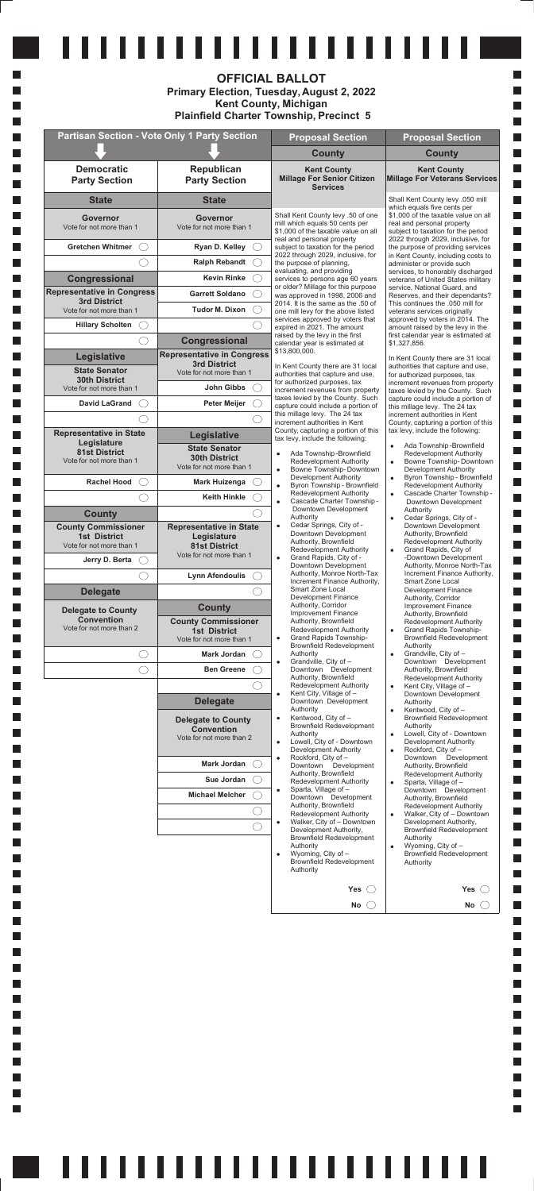| <b>Michael Melcher</b> | Sparta, Village of -<br>٠<br>Downtown Development<br>Authority, Brownfield<br>Redevelopment Authority<br>Walker, City of - Downtown<br>٠<br>Development Authority,<br><b>Brownfield Redevelopment</b><br>Authority<br>Wyoming, City of -<br>٠<br><b>Brownfield Redevelopment</b><br>Authority | Downtown Development<br>Authority, Brownfield<br>Redevelopment Authority<br>Walker, City of - Downtown<br>٠<br>Development Authority,<br><b>Brownfield Redevelopment</b><br>Authority<br>Wyoming, City of -<br>۰<br><b>Brownfield Redevelopment</b><br>Authority |  |
|------------------------|-----------------------------------------------------------------------------------------------------------------------------------------------------------------------------------------------------------------------------------------------------------------------------------------------|------------------------------------------------------------------------------------------------------------------------------------------------------------------------------------------------------------------------------------------------------------------|--|
|                        | Yes                                                                                                                                                                                                                                                                                           | Yes(                                                                                                                                                                                                                                                             |  |
|                        | <b>No</b>                                                                                                                                                                                                                                                                                     | No                                                                                                                                                                                                                                                               |  |

# <u>111111111111111111111111</u>

|                                                                               | .<br><b>Partisan Section - Vote Only 1 Party Section</b>                                          | <b>OFFICIAL BALLOT</b><br>Primary Election, Tuesday, August 2, 2022<br><b>Kent County, Michigan</b><br><b>Plainfield Charter Township, Precinct 5</b> |                                                                                                                                                                             |
|-------------------------------------------------------------------------------|---------------------------------------------------------------------------------------------------|-------------------------------------------------------------------------------------------------------------------------------------------------------|-----------------------------------------------------------------------------------------------------------------------------------------------------------------------------|
|                                                                               |                                                                                                   | <b>Proposal Section</b>                                                                                                                               | <b>Proposal Section</b>                                                                                                                                                     |
|                                                                               |                                                                                                   | <b>County</b>                                                                                                                                         | <b>County</b>                                                                                                                                                               |
| <b>Democratic</b><br><b>Party Section</b>                                     | Republican<br><b>Party Section</b>                                                                | <b>Kent County</b><br><b>Millage For Senior Citizen</b><br><b>Services</b>                                                                            | <b>Kent County</b><br><b>Millage For Veterans Services</b>                                                                                                                  |
| <b>State</b>                                                                  | <b>State</b>                                                                                      |                                                                                                                                                       | Shall Kent County levy .050 mill                                                                                                                                            |
| <b>Governor</b><br>Vote for not more than 1                                   | <b>Governor</b><br>Vote for not more than 1                                                       | Shall Kent County levy .50 of one<br>mill which equals 50 cents per<br>\$1,000 of the taxable value on all<br>real and personal property              | which equals five cents per<br>\$1,000 of the taxable value on all<br>real and personal property<br>subject to taxation for the period<br>2022 through 2029, inclusive, for |
| <b>Gretchen Whitmer</b>                                                       | Ryan D. Kelley                                                                                    | subject to taxation for the period                                                                                                                    | the purpose of providing services                                                                                                                                           |
|                                                                               | <b>Ralph Rebandt</b>                                                                              | 2022 through 2029, inclusive, for<br>the purpose of planning.                                                                                         | in Kent County, including costs to<br>administer or provide such                                                                                                            |
| Congressional                                                                 | <b>Kevin Rinke</b>                                                                                | evaluating, and providing<br>services to persons age 60 years                                                                                         | services, to honorably discharged<br>veterans of United States military                                                                                                     |
| <b>Representative in Congress</b>                                             | <b>Garrett Soldano</b>                                                                            | or older? Millage for this purpose<br>was approved in 1998, 2006 and                                                                                  | service, National Guard, and<br>Reserves, and their dependants?                                                                                                             |
| <b>3rd District</b><br>Vote for not more than 1                               | <b>Tudor M. Dixon</b>                                                                             | 2014. It is the same as the .50 of<br>one mill levy for the above listed                                                                              | This continues the .050 mill for<br>veterans services originally                                                                                                            |
| <b>Hillary Scholten</b>                                                       |                                                                                                   | services approved by voters that<br>expired in 2021. The amount                                                                                       | approved by voters in 2014. The<br>amount raised by the levy in the                                                                                                         |
|                                                                               | <b>Congressional</b>                                                                              | raised by the levy in the first<br>calendar year is estimated at                                                                                      | first calendar year is estimated at<br>\$1,327,856.                                                                                                                         |
| <b>Legislative</b>                                                            | <b>Representative in Congress</b>                                                                 | \$13,800,000.                                                                                                                                         | In Kent County there are 31 local                                                                                                                                           |
| <b>State Senator</b><br><b>30th District</b><br>Vote for not more than 1      | <b>3rd District</b><br>Vote for not more than 1<br><b>John Gibbs</b>                              | In Kent County there are 31 local<br>authorities that capture and use,<br>for authorized purposes, tax                                                | authorities that capture and use,<br>for authorized purposes, tax<br>increment revenues from property                                                                       |
| <b>David LaGrand</b>                                                          | <b>Peter Meijer</b>                                                                               | increment revenues from property<br>taxes levied by the County. Such                                                                                  | taxes levied by the County. Such<br>capture could include a portion of                                                                                                      |
|                                                                               |                                                                                                   | capture could include a portion of<br>this millage levy. The 24 tax                                                                                   | this millage levy. The 24 tax<br>increment authorities in Kent                                                                                                              |
| <b>Representative in State</b><br>Legislature                                 | Legislative                                                                                       | increment authorities in Kent<br>County, capturing a portion of this<br>tax levy, include the following:                                              | County, capturing a portion of this<br>tax levy, include the following:                                                                                                     |
| <b>81st District</b><br>Vote for not more than 1                              | <b>State Senator</b><br><b>30th District</b><br>Vote for not more than 1                          | Ada Township-Brownfield<br>$\bullet$<br>Redevelopment Authority<br>Bowne Township-Downtown<br>$\bullet$                                               | Ada Township-Brownfield<br>$\bullet$<br><b>Redevelopment Authority</b><br>Bowne Township-Downtown<br>$\bullet$<br>Development Authority                                     |
| <b>Rachel Hood</b><br>$($ )                                                   | Mark Huizenga                                                                                     | Development Authority<br>Byron Township - Brownfield<br>$\bullet$                                                                                     | Byron Township - Brownfield<br>$\bullet$<br>Redevelopment Authority                                                                                                         |
|                                                                               | Keith Hinkle                                                                                      | <b>Redevelopment Authority</b><br>Cascade Charter Township -<br>$\bullet$                                                                             | Cascade Charter Township -<br>$\bullet$<br>Downtown Development                                                                                                             |
| <b>County</b>                                                                 |                                                                                                   | Downtown Development<br>Authority                                                                                                                     | Authority<br>Cedar Springs, City of -<br>$\bullet$                                                                                                                          |
| <b>County Commissioner</b><br><b>1st District</b><br>Vote for not more than 1 | <b>Representative in State</b><br>Legislature<br><b>81st District</b><br>Vote for not more than 1 | Cedar Springs, City of -<br>$\bullet$<br>Downtown Development<br>Authority, Brownfield<br>Redevelopment Authority                                     | Downtown Development<br>Authority, Brownfield<br>Redevelopment Authority<br>Grand Rapids, City of<br>$\bullet$                                                              |
| Jerry D. Berta<br>$( \ \ )$                                                   |                                                                                                   | Grand Rapids, City of -<br>$\bullet$<br>Downtown Development                                                                                          | -Downtown Development<br>Authority, Monroe North-Tax                                                                                                                        |
|                                                                               | <b>Lynn Afendoulis</b>                                                                            | Authority, Monroe North-Tax<br>Increment Finance Authority,                                                                                           | Increment Finance Authority,<br>Smart Zone Local                                                                                                                            |
| <b>Delegate</b>                                                               |                                                                                                   | Smart Zone Local<br>Development Finance                                                                                                               | <b>Development Finance</b><br>Authority, Corridor                                                                                                                           |
| <b>Delegate to County</b>                                                     | <b>County</b>                                                                                     | Authority, Corridor<br><b>Improvement Finance</b>                                                                                                     | <b>Improvement Finance</b><br>Authority, Brownfield                                                                                                                         |
| <b>Convention</b><br>Vote for not more than 2                                 | <b>County Commissioner</b><br><b>1st District</b>                                                 | Authority, Brownfield<br>Redevelopment Authority                                                                                                      | <b>Redevelopment Authority</b><br>Grand Rapids Township-<br>$\bullet$                                                                                                       |
|                                                                               | Vote for not more than 1                                                                          | Grand Rapids Township-<br>$\bullet$<br><b>Brownfield Redevelopment</b>                                                                                | <b>Brownfield Redevelopment</b><br>Authority                                                                                                                                |
| О.                                                                            | Mark Jordan                                                                                       | Authority<br>Grandville, City of -<br>$\bullet$                                                                                                       | Grandville, City of -<br>$\bullet$<br>Downtown Development                                                                                                                  |
| 0                                                                             | <b>Ben Greene</b>                                                                                 | Downtown Development<br>Authority, Brownfield                                                                                                         | Authority, Brownfield<br><b>Redevelopment Authority</b>                                                                                                                     |
|                                                                               |                                                                                                   | Redevelopment Authority<br>Kent City, Village of -<br>$\bullet$                                                                                       | Kent City, Village of -<br>$\bullet$<br>Downtown Development                                                                                                                |
|                                                                               | <b>Delegate</b><br><b>Delegate to County</b>                                                      | Downtown Development<br>Authority<br>Kentwood, City of -<br>$\bullet$                                                                                 | Authority<br>Kentwood, City of -<br>$\bullet$<br><b>Brownfield Redevelopment</b>                                                                                            |
|                                                                               | <b>Convention</b>                                                                                 | <b>Brownfield Redevelopment</b><br>Authority                                                                                                          | Authority<br>Lowell, City of - Downtown<br>$\bullet$                                                                                                                        |
|                                                                               | Vote for not more than 2                                                                          | Lowell, City of - Downtown<br>$\bullet$<br>Development Authority                                                                                      | Development Authority<br>Rockford, City of -<br>$\bullet$                                                                                                                   |
|                                                                               | <b>Mark Jordan</b>                                                                                | Rockford, City of -<br>$\bullet$<br>Downtown Development                                                                                              | Downtown Development<br>Authority, Brownfield                                                                                                                               |
|                                                                               | Sue Jordan                                                                                        | Authority, Brownfield<br>Redevelopment Authority                                                                                                      | <b>Redevelopment Authority</b><br>Sparta, Village of -<br>$\bullet$                                                                                                         |

 $\mathcal{L}_{\mathcal{A}}$ 

m.  $\mathcal{L}_{\mathcal{A}}$ 

 $\overline{\phantom{a}}$ 

H

 $\overline{\phantom{a}}$ 

T.

 $\mathcal{L}_{\mathcal{A}}$ 

T.

 $\mathcal{L}_{\mathcal{A}}$ 

T.

 $\mathcal{L}_{\mathcal{A}}$ 

T.

 $\mathcal{L}_{\mathcal{A}}$ 

T.

 $\mathcal{L}_{\mathcal{A}}$ 

T.

 $\mathcal{L}_{\mathcal{A}}$ 

T.

 $\mathcal{L}_{\mathcal{A}}$ 

T.

 $\mathcal{L}_{\mathcal{A}}$ 

T.

 $\overline{\phantom{a}}$ 

T.

 $\mathcal{L}_{\mathcal{A}}$ 

T.

 $\overline{\phantom{a}}$ 

T.

 $\mathcal{L}_{\mathcal{A}}$ 

m.

 $\overline{\phantom{a}}$ 

m.

 $\mathcal{L}_{\mathcal{A}}$ 

m.

 $\overline{\phantom{a}}$ 

m.

 $\mathcal{L}_{\mathcal{A}}$ 

m.

 $\overline{\phantom{a}}$ 

H

H

H H

 $\mathcal{L}_{\mathcal{A}}$ L.

 $\mathcal{L}_{\mathcal{A}}$ 

L.

L.

L.

L.

L.

L.

L.

L. L.

L.

I.

L.

I. I.

m.

L.

I.

L.

L.

L.

 $\Box$ 

 $\Box$ 

 $\Box$ 

 $\Box$ 

 $\Box$ 

 $\Box$ 

 $\Box$ 

 $\Box$ 

 $\Box$ 

 $\Box$ 

 $\Box$ 

 $\Box$ 

 $\Box$ 

 $\Box$ 

 $\Box$ 

 $\Box$ 

 $\Box$ 

 $\Box$ 

 $\Box$ 

 $\Box$ 

 $\Box$ 

 $\Box$ 

 $\Box$ 

 $\Box$ 

 $\Box$ 

 $\Box$ 

 $\Box$ 

 $\Box$ 

 $\Box$ 

 $\Box$ 

 $\Box$ 

 $\Box$ 

 $\Box$ 

 $\Box$ 

 $\Box$ 

 $\Box$ 

 $\Box$ 

 $\Box$ 

 $\Box$ 

 $\Box$ 

 $\Box$  $\Box$ 

 $\Box$ 

 $\Box$  $\Box$ 

 $\mathbb{R}^n$ 

 $\Box$ **The State** 

**Contract** 

 $\Box$ 

 $\Box$ 

П

П

 $\Box$ 

П

П П

П

 $\Box$ 

 $\Box$ 

 $\Box$ 

П  $\Box$ 

П

П

П

П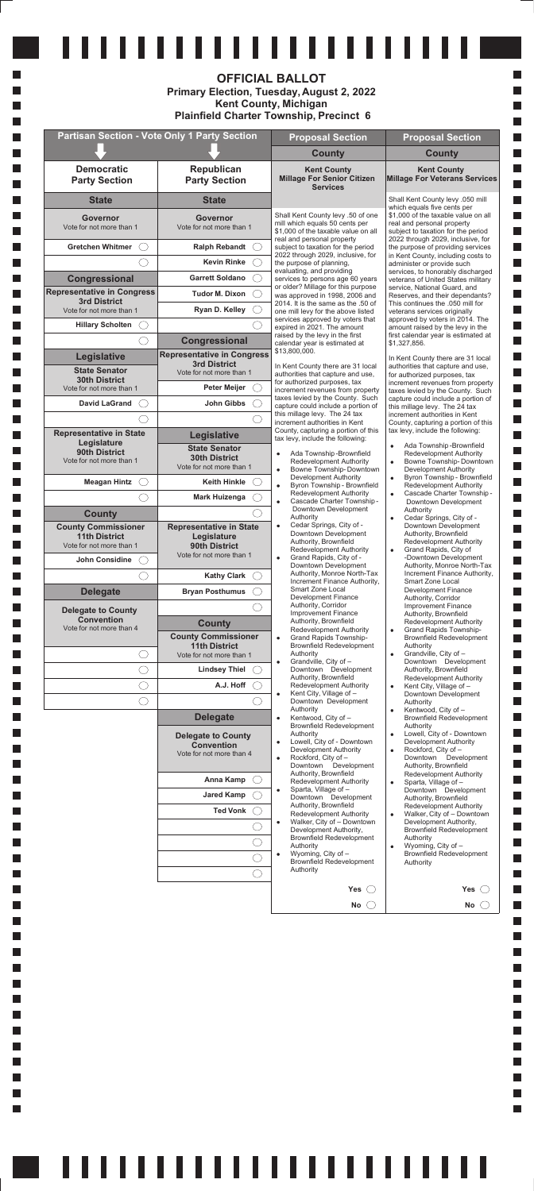|                                                  |                                                                            | <b>OFFICIAL BALLOT</b><br><b>Primary Election, Tuesday, August 2, 2022</b><br><b>Kent County, Michigan</b><br><b>Plainfield Charter Township, Precinct 6</b>          |                                                                                                                                                                    |
|--------------------------------------------------|----------------------------------------------------------------------------|-----------------------------------------------------------------------------------------------------------------------------------------------------------------------|--------------------------------------------------------------------------------------------------------------------------------------------------------------------|
|                                                  | <b>Partisan Section - Vote Only 1 Party Section</b>                        | <b>Proposal Section</b>                                                                                                                                               | <b>Proposal Section</b>                                                                                                                                            |
|                                                  |                                                                            | <b>County</b>                                                                                                                                                         | <b>County</b>                                                                                                                                                      |
| <b>Democratic</b><br><b>Party Section</b>        | Republican<br><b>Party Section</b>                                         | <b>Kent County</b><br><b>Millage For Senior Citizen</b><br><b>Services</b>                                                                                            | <b>Kent County</b><br><b>Millage For Veterans Services</b>                                                                                                         |
| <b>State</b>                                     | <b>State</b>                                                               |                                                                                                                                                                       | Shall Kent County levy .050 mill<br>which equals five cents per                                                                                                    |
| <b>Governor</b><br>Vote for not more than 1      | <b>Governor</b><br>Vote for not more than 1                                | Shall Kent County levy .50 of one<br>mill which equals 50 cents per<br>\$1,000 of the taxable value on all                                                            | \$1,000 of the taxable value on all<br>real and personal property<br>subject to taxation for the period                                                            |
| <b>Gretchen Whitmer</b>                          | <b>Ralph Rebandt</b>                                                       | real and personal property<br>subject to taxation for the period                                                                                                      | 2022 through 2029, inclusive, for<br>the purpose of providing services                                                                                             |
|                                                  | <b>Kevin Rinke</b>                                                         | 2022 through 2029, inclusive, for<br>the purpose of planning.                                                                                                         | in Kent County, including costs to<br>administer or provide such                                                                                                   |
| Congressional                                    | <b>Garrett Soldano</b>                                                     | evaluating, and providing<br>services to persons age 60 years                                                                                                         | services, to honorably discharged<br>veterans of United States military                                                                                            |
| <b>Representative in Congress</b>                | <b>Tudor M. Dixon</b>                                                      | or older? Millage for this purpose<br>was approved in 1998, 2006 and                                                                                                  | service, National Guard, and<br>Reserves, and their dependants?                                                                                                    |
| <b>3rd District</b><br>Vote for not more than 1  | Ryan D. Kelley                                                             | 2014. It is the same as the .50 of<br>one mill levy for the above listed                                                                                              | This continues the .050 mill for<br>veterans services originally                                                                                                   |
| <b>Hillary Scholten</b>                          |                                                                            | services approved by voters that<br>expired in 2021. The amount                                                                                                       | approved by voters in 2014. The<br>amount raised by the levy in the                                                                                                |
|                                                  | <b>Congressional</b>                                                       | raised by the levy in the first<br>calendar year is estimated at                                                                                                      | first calendar year is estimated at<br>\$1,327,856.                                                                                                                |
| Legislative                                      | <b>Representative in Congress</b><br><b>3rd District</b>                   | \$13,800,000.                                                                                                                                                         | In Kent County there are 31 local                                                                                                                                  |
| <b>State Senator</b><br><b>30th District</b>     | Vote for not more than 1                                                   | In Kent County there are 31 local<br>authorities that capture and use,                                                                                                | authorities that capture and use,<br>for authorized purposes, tax                                                                                                  |
| Vote for not more than 1                         | <b>Peter Meijer</b>                                                        | for authorized purposes, tax<br>increment revenues from property                                                                                                      | increment revenues from property<br>taxes levied by the County. Such                                                                                               |
| <b>David LaGrand</b>                             | John Gibbs                                                                 | taxes levied by the County. Such<br>capture could include a portion of                                                                                                | capture could include a portion of<br>this millage levy. The 24 tax                                                                                                |
|                                                  |                                                                            | this millage levy. The 24 tax<br>increment authorities in Kent                                                                                                        | increment authorities in Kent<br>County, capturing a portion of this                                                                                               |
| <b>Representative in State</b><br>Legislature    | Legislative                                                                | County, capturing a portion of this<br>tax levy, include the following:                                                                                               | tax levy, include the following:                                                                                                                                   |
| 90th District<br>Vote for not more than 1        | <b>State Senator</b><br><b>30th District</b><br>Vote for not more than 1   | Ada Township-Brownfield<br>$\bullet$<br><b>Redevelopment Authority</b><br>Bowne Township-Downtown<br>$\bullet$                                                        | Ada Township-Brownfield<br>$\bullet$<br><b>Redevelopment Authority</b><br>Bowne Township-Downtown<br>$\bullet$<br>Development Authority                            |
| <b>Meagan Hintz</b>                              | <b>Keith Hinkle</b>                                                        | <b>Development Authority</b><br>Byron Township - Brownfield<br>$\bullet$                                                                                              | Byron Township - Brownfield<br>$\bullet$<br>Redevelopment Authority                                                                                                |
|                                                  | <b>Mark Huizenga</b>                                                       | <b>Redevelopment Authority</b><br>Cascade Charter Township -<br>$\bullet$                                                                                             | Cascade Charter Township-<br>$\bullet$<br>Downtown Development                                                                                                     |
| <b>County</b>                                    |                                                                            | Downtown Development<br>Authority                                                                                                                                     | Authority<br>Cedar Springs, City of -<br>٠                                                                                                                         |
| <b>County Commissioner</b>                       | <b>Representative in State</b>                                             | Cedar Springs, City of -<br>$\bullet$<br>Downtown Development                                                                                                         | Downtown Development<br>Authority, Brownfield                                                                                                                      |
| <b>11th District</b><br>Vote for not more than 1 | Legislature<br>90th District                                               | Authority, Brownfield<br>Redevelopment Authority                                                                                                                      | Redevelopment Authority<br>Grand Rapids, City of<br>$\bullet$                                                                                                      |
| John Considine                                   | Vote for not more than 1                                                   | Grand Rapids, City of -<br>$\bullet$<br>Downtown Development                                                                                                          | -Downtown Development<br>Authority, Monroe North-Tax                                                                                                               |
|                                                  | <b>Kathy Clark</b>                                                         | Authority, Monroe North-Tax<br>Increment Finance Authority,                                                                                                           | Increment Finance Authority,<br>Smart Zone Local                                                                                                                   |
| <b>Delegate</b>                                  | <b>Bryan Posthumus</b>                                                     | Smart Zone Local<br>Development Finance                                                                                                                               | Development Finance<br>Authority, Corridor                                                                                                                         |
| <b>Delegate to County</b>                        |                                                                            | Authority, Corridor<br>Improvement Finance                                                                                                                            | <b>Improvement Finance</b>                                                                                                                                         |
| <b>Convention</b><br>Vote for not more than 4    | <b>County</b>                                                              | Authority, Brownfield                                                                                                                                                 | Authority, Brownfield<br><b>Redevelopment Authority</b>                                                                                                            |
|                                                  | <b>County Commissioner</b>                                                 | Redevelopment Authority<br><b>Grand Rapids Township-</b><br>$\bullet$                                                                                                 | Grand Rapids Township-<br>$\bullet$<br><b>Brownfield Redevelopment</b>                                                                                             |
| . . )                                            | <b>11th District</b><br>Vote for not more than 1                           | <b>Brownfield Redevelopment</b><br>Authority                                                                                                                          | Authority<br>Grandville, City of -<br>$\bullet$                                                                                                                    |
| .                                                | <b>Lindsey Thiel</b>                                                       | Grandville, City of -<br>$\bullet$<br>Downtown Development                                                                                                            | Downtown Development<br>Authority, Brownfield                                                                                                                      |
| U)                                               | A.J. Hoff                                                                  | Authority, Brownfield<br>Redevelopment Authority                                                                                                                      | Redevelopment Authority<br>Kent City, Village of -<br>$\bullet$                                                                                                    |
| U)                                               |                                                                            | Kent City, Village of -<br>$\bullet$<br>Downtown Development                                                                                                          | Downtown Development<br>Authority                                                                                                                                  |
|                                                  | <b>Delegate</b>                                                            | Authority<br>Kentwood, City of -<br>$\bullet$                                                                                                                         | Kentwood, City of -<br>$\bullet$<br>Brownfield Redevelopment                                                                                                       |
|                                                  | <b>Delegate to County</b><br><b>Convention</b><br>Vote for not more than 4 | Brownfield Redevelopment<br>Authority<br>Lowell, City of - Downtown<br>$\bullet$<br>Development Authority<br>Rockford, City of -<br>$\bullet$<br>Downtown Development | Authority<br>Lowell, City of - Downtown<br>$\bullet$<br>Development Authority<br>Rockford, City of -<br>$\bullet$<br>Downtown Development<br>Authority, Brownfield |
|                                                  | Anna Kamp                                                                  | Authority, Brownfield<br>Redevelopment Authority                                                                                                                      | <b>Redevelopment Authority</b><br>Sparta, Village of -                                                                                                             |

 $\mathcal{L}_{\mathcal{A}}$ 

 $\mathcal{L}_{\mathcal{A}}$ 

m.  $\mathcal{L}_{\mathcal{A}}$ 

H

 $\mathcal{L}_{\mathcal{A}}$ 

H  $\mathcal{L}_{\mathcal{A}}$ 

 $\overline{\phantom{a}}$ 

 $\mathcal{L}_{\mathcal{A}}$ 

H  $\mathcal{L}_{\mathcal{A}}$ 

 $\overline{\phantom{a}}$ 

 $\mathcal{L}_{\mathcal{A}}$ 

H

 $\mathcal{L}_{\mathcal{A}}$ 

 $\overline{\phantom{a}}$ 

 $\mathcal{L}_{\mathcal{A}}$ 

H  $\mathcal{L}_{\mathcal{A}}$ 

 $\overline{\phantom{a}}$ 

 $\mathcal{L}_{\mathcal{A}}$ 

 $\mathcal{L}_{\mathcal{A}}$ 

 $\mathcal{L}_{\mathcal{A}}$ 

m.

 $\mathcal{L}_{\mathcal{A}}$ 

 $\mathcal{L}_{\mathcal{A}}$ 

 $\mathcal{L}_{\mathcal{A}}$ 

m.  $\mathcal{L}_{\mathcal{A}}$ 

 $\mathcal{L}_{\mathcal{A}}$ 

 $\mathcal{L}_{\mathcal{A}}$ 

m.  $\mathcal{L}_{\mathcal{A}}$ 

 $\mathcal{L}_{\mathcal{A}}$ 

 $\mathcal{L}_{\mathcal{A}}$ 

m.  $\mathcal{L}_{\mathcal{A}}$ 

П  $\mathcal{L}_{\mathcal{A}}$ 

H

H

H H

 $\mathcal{L}_{\mathcal{A}}$ H

 $\overline{\phantom{a}}$ 

L.

L. L.

L.

L.

L.

L.

L. L.

L.

I. L.

L. L.

I. L.

L.

L. L.

L.

 $\mathcal{L}_{\mathcal{A}}$ 

 $\Box$ 

 $\Box$ 

 $\Box$  $\Box$ 

 $\Box$ 

 $\Box$ 

 $\Box$ 

 $\Box$ 

 $\Box$  $\Box$ 

 $\Box$ 

 $\Box$ 

 $\Box$ 

 $\Box$ 

 $\Box$ 

 $\Box$ 

 $\Box$  $\Box$ 

 $\Box$ 

 $\Box$ 

 $\Box$ 

 $\Box$ 

 $\Box$ 

 $\Box$ 

 $\Box$ 

 $\Box$ 

 $\Box$  $\Box$ 

 $\Box$ 

 $\Box$ 

 $\Box$  $\Box$ 

 $\Box$ 

 $\Box$ 

 $\Box$  $\Box$ 

 $\Box$  $\Box$ 

 $\Box$  $\Box$ 

 $\Box$ 

 $\Box$ 

 $\Box$  $\Box$ 

 $\Box$ 

 $\mathcal{L}_{\mathcal{A}}$ **Contract** 

a ka

**Contract Contract** 

П

П

 $\mathbb{R}^n$ 

 $\Box$ 

П

I.  $\Box$ 

**Contract**  $\Box$ 

**Contract**  $\Box$ 

**Contract**  $\Box$ 

 $\Box$ 

 $\Box$  $\Box$ 

| <b>Jared Kamp</b><br><b>Ted Vonk</b> | Sparta, Village of -<br>Downtown Development<br>Authority, Brownfield<br>Redevelopment Authority<br>Walker, City of - Downtown<br>٠<br>Development Authority,<br><b>Brownfield Redevelopment</b><br>Authority<br>Wyoming, City of -<br>٠<br><b>Brownfield Redevelopment</b><br>Authority | - <del>- - - - - - - - - - - - - - - - - -</del><br>Downtown Development<br>Authority, Brownfield<br><b>Redevelopment Authority</b><br>Walker, City of - Downtown<br>٠<br>Development Authority,<br><b>Brownfield Redevelopment</b><br>Authority<br>Wyoming, City of -<br>٠<br><b>Brownfield Redevelopment</b><br>Authority |
|--------------------------------------|------------------------------------------------------------------------------------------------------------------------------------------------------------------------------------------------------------------------------------------------------------------------------------------|-----------------------------------------------------------------------------------------------------------------------------------------------------------------------------------------------------------------------------------------------------------------------------------------------------------------------------|
|                                      | Yes(「                                                                                                                                                                                                                                                                                    | Yes (                                                                                                                                                                                                                                                                                                                       |
|                                      | No                                                                                                                                                                                                                                                                                       | No.                                                                                                                                                                                                                                                                                                                         |

###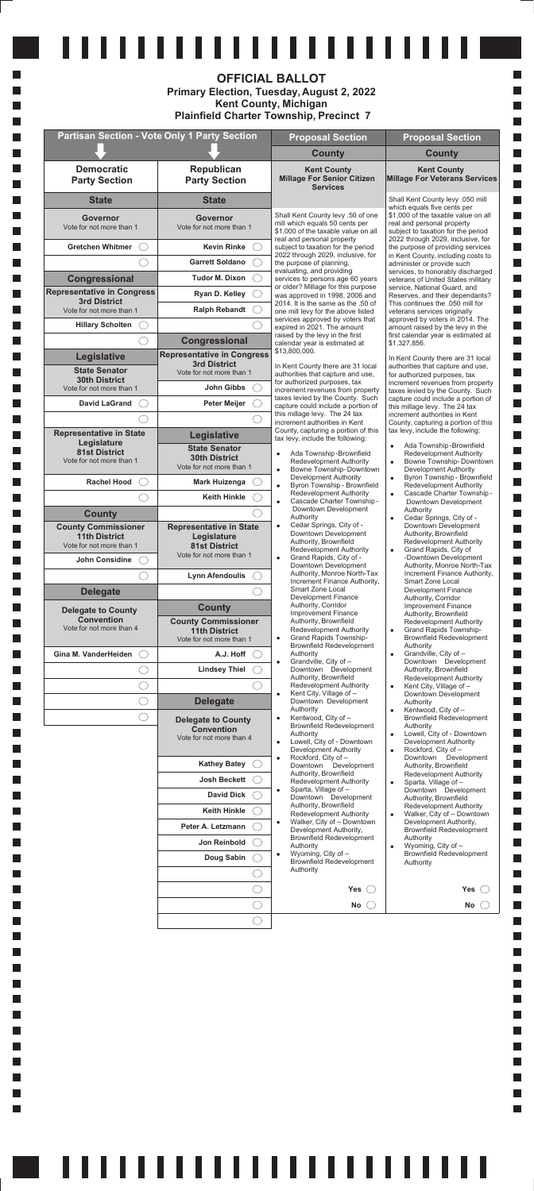|                                                                                |                                                                          | <b>OFFICIAL BALLOT</b><br>Primary Election, Tuesday, August 2, 2022<br><b>Kent County, Michigan</b><br><b>Plainfield Charter Township, Precinct 7</b> |                                                                                                                                                         |
|--------------------------------------------------------------------------------|--------------------------------------------------------------------------|-------------------------------------------------------------------------------------------------------------------------------------------------------|---------------------------------------------------------------------------------------------------------------------------------------------------------|
|                                                                                | <b>Partisan Section - Vote Only 1 Party Section</b>                      | <b>Proposal Section</b>                                                                                                                               | <b>Proposal Section</b>                                                                                                                                 |
|                                                                                |                                                                          | <b>County</b>                                                                                                                                         | <b>County</b>                                                                                                                                           |
| <b>Democratic</b><br><b>Party Section</b>                                      | Republican<br><b>Party Section</b>                                       | <b>Kent County</b><br><b>Millage For Senior Citizen</b><br><b>Services</b>                                                                            | <b>Kent County</b><br>Millage For Veterans Services                                                                                                     |
| <b>State</b>                                                                   | <b>State</b>                                                             |                                                                                                                                                       | Shall Kent County levy .050 mill                                                                                                                        |
| Governor<br>Vote for not more than 1                                           | <b>Governor</b><br>Vote for not more than 1                              | Shall Kent County levy .50 of one<br>mill which equals 50 cents per<br>\$1,000 of the taxable value on all<br>real and personal property              | which equals five cents per<br>\$1,000 of the taxable value on all<br>real and personal property<br>subject to taxation for the period                  |
| <b>Gretchen Whitmer</b>                                                        | <b>Kevin Rinke</b>                                                       | subject to taxation for the period                                                                                                                    | 2022 through 2029, inclusive, for<br>the purpose of providing services                                                                                  |
|                                                                                | <b>Garrett Soldano</b>                                                   | 2022 through 2029, inclusive, for<br>the purpose of planning.                                                                                         | in Kent County, including costs to<br>administer or provide such                                                                                        |
| Congressional                                                                  | <b>Tudor M. Dixon</b>                                                    | evaluating, and providing<br>services to persons age 60 years                                                                                         | services, to honorably discharged<br>veterans of United States military                                                                                 |
| <b>Representative in Congress</b>                                              | Ryan D. Kelley                                                           | or older? Millage for this purpose<br>was approved in 1998, 2006 and                                                                                  | service, National Guard, and<br>Reserves, and their dependants?                                                                                         |
| <b>3rd District</b><br>Vote for not more than 1                                | <b>Ralph Rebandt</b>                                                     | 2014. It is the same as the .50 of<br>one mill levy for the above listed                                                                              | This continues the .050 mill for<br>veterans services originally                                                                                        |
| <b>Hillary Scholten</b>                                                        |                                                                          | services approved by voters that<br>expired in 2021. The amount                                                                                       | approved by voters in 2014. The<br>amount raised by the levy in the                                                                                     |
|                                                                                | Congressional                                                            | raised by the levy in the first                                                                                                                       | first calendar year is estimated at                                                                                                                     |
| <b>Legislative</b>                                                             | <b>Representative in Congress</b>                                        | calendar year is estimated at<br>\$13,800,000.                                                                                                        | \$1,327,856.                                                                                                                                            |
| <b>State Senator</b>                                                           | <b>3rd District</b><br>Vote for not more than 1                          | In Kent County there are 31 local                                                                                                                     | In Kent County there are 31 local<br>authorities that capture and use,                                                                                  |
| <b>30th District</b>                                                           |                                                                          | authorities that capture and use,<br>for authorized purposes, tax                                                                                     | for authorized purposes, tax<br>increment revenues from property                                                                                        |
| Vote for not more than 1                                                       | <b>John Gibbs</b>                                                        | increment revenues from property<br>taxes levied by the County. Such                                                                                  | taxes levied by the County. Such<br>capture could include a portion of                                                                                  |
| <b>David LaGrand</b>                                                           | <b>Peter Meijer</b>                                                      | capture could include a portion of<br>this millage levy. The 24 tax                                                                                   | this millage levy. The 24 tax<br>increment authorities in Kent                                                                                          |
|                                                                                |                                                                          | increment authorities in Kent<br>County, capturing a portion of this                                                                                  | County, capturing a portion of this<br>tax levy, include the following:                                                                                 |
| <b>Representative in State</b><br>Legislature                                  | Legislative                                                              | tax levy, include the following:                                                                                                                      |                                                                                                                                                         |
| <b>81st District</b><br>Vote for not more than 1                               | <b>State Senator</b><br><b>30th District</b><br>Vote for not more than 1 | Ada Township-Brownfield<br>Redevelopment Authority<br>Bowne Township-Downtown<br>$\bullet$                                                            | Ada Township-Brownfield<br>$\bullet$<br><b>Redevelopment Authority</b><br>Bowne Township-Downtown<br>$\bullet$<br>Development Authority                 |
| <b>Rachel Hood</b>                                                             | <b>Mark Huizenga</b>                                                     | Development Authority<br>Byron Township - Brownfield<br>$\bullet$                                                                                     | Byron Township - Brownfield<br>$\bullet$<br><b>Redevelopment Authority</b>                                                                              |
|                                                                                | <b>Keith Hinkle</b>                                                      | Redevelopment Authority<br>Cascade Charter Township -<br>$\bullet$                                                                                    | Cascade Charter Township-<br>$\bullet$<br>Downtown Development                                                                                          |
| <b>County</b>                                                                  |                                                                          | Downtown Development                                                                                                                                  | Authority                                                                                                                                               |
| <b>County Commissioner</b><br><b>11th District</b><br>Vote for not more than 1 | <b>Representative in State</b><br>Legislature<br><b>81st District</b>    | Authority<br>Cedar Springs, City of -<br>$\bullet$<br>Downtown Development<br>Authority, Brownfield<br>Redevelopment Authority                        | Cedar Springs, City of -<br>$\bullet$<br>Downtown Development<br>Authority, Brownfield<br>Redevelopment Authority<br>Grand Rapids, City of<br>$\bullet$ |
| <b>John Considine</b>                                                          | Vote for not more than 1                                                 | Grand Rapids, City of -<br>$\bullet$<br>Downtown Development                                                                                          | -Downtown Development<br>Authority, Monroe North-Tax                                                                                                    |
|                                                                                | <b>Lynn Afendoulis</b>                                                   | Authority, Monroe North-Tax<br>Increment Finance Authority,                                                                                           | Increment Finance Authority,<br>Smart Zone Local                                                                                                        |
| <b>Delegate</b>                                                                |                                                                          | Smart Zone Local                                                                                                                                      | Development Finance                                                                                                                                     |
| <b>Delegate to County</b>                                                      | <b>County</b>                                                            | <b>Development Finance</b><br>Authority, Corridor                                                                                                     | Authority, Corridor<br>Improvement Finance                                                                                                              |
| <b>Convention</b>                                                              | <b>County Commissioner</b>                                               | <b>Improvement Finance</b><br>Authority, Brownfield                                                                                                   | Authority, Brownfield<br><b>Redevelopment Authority</b>                                                                                                 |
| Vote for not more than 4                                                       | <b>11th District</b><br>Vote for not more than 1                         | Redevelopment Authority<br><b>Grand Rapids Township-</b><br>$\bullet$                                                                                 | Grand Rapids Township-<br><b>Brownfield Redevelopment</b>                                                                                               |
| Gina M. VanderHeiden                                                           | A.J. Hoff                                                                | <b>Brownfield Redevelopment</b><br>Authority                                                                                                          | Authority<br>Grandville, City of -<br>$\bullet$                                                                                                         |
|                                                                                | <b>Lindsey Thiel</b>                                                     | Grandville, City of -<br>$\bullet$<br>Downtown Development                                                                                            | Downtown Development<br>Authority, Brownfield                                                                                                           |
| $\overline{\phantom{a}}$                                                       |                                                                          | Authority, Brownfield<br>Redevelopment Authority                                                                                                      | Redevelopment Authority<br>Kent City, Village of -<br>$\bullet$                                                                                         |
| 0                                                                              | <b>Delegate</b>                                                          | Kent City, Village of -<br>$\bullet$<br>Downtown Development                                                                                          | Downtown Development<br>Authority                                                                                                                       |
| $\left(\begin{array}{c} \end{array}\right)$                                    |                                                                          | Authority                                                                                                                                             | Kentwood, City of -<br>$\bullet$                                                                                                                        |
|                                                                                | <b>Delegate to County</b><br><b>Convention</b>                           | Kentwood, City of -<br>$\bullet$<br><b>Brownfield Redevelopment</b>                                                                                   | <b>Brownfield Redevelopment</b><br>Authority                                                                                                            |
|                                                                                | Vote for not more than 4                                                 | Authority<br>Lowell, City of - Downtown<br>Development Authority                                                                                      | Lowell, City of - Downtown<br>$\bullet$<br>Development Authority<br>Rockford, City of -<br>$\bullet$                                                    |
|                                                                                | <b>Kathey Batey</b>                                                      | Rockford, City of -<br>$\bullet$<br>Downtown Development                                                                                              | Downtown Development<br>Authority, Brownfield                                                                                                           |
|                                                                                | <b>Josh Beckett</b>                                                      | Authority, Brownfield<br>Redevelopment Authority                                                                                                      | <b>Redevelopment Authority</b><br>Sparta, Village of -<br>$\bullet$                                                                                     |

 $\mathcal{L}_{\mathcal{A}}$ 

m.

M

m.

H

 $\mathcal{L}_{\mathcal{A}}$ 

m.  $\mathcal{L}_{\mathcal{A}}$ 

m.

 $\mathcal{L}_{\mathcal{A}}$ 

m.

 $\mathcal{L}_{\mathcal{A}}$ 

m.

 $\mathcal{L}_{\mathcal{A}}$ 

m.

 $\mathcal{L}_{\mathcal{A}}$ 

m.

 $\mathcal{L}_{\mathcal{A}}$ 

m.

 $\mathcal{L}_{\mathcal{A}}$ 

m.  $\mathcal{L}_{\mathcal{A}}$ 

m.

 $\mathcal{L}_{\mathcal{A}}$ 

m.

 $\mathcal{L}_{\mathcal{A}}$ 

m.

 $\mathcal{L}_{\mathcal{A}}$ 

m.

 $\mathcal{L}_{\mathcal{A}}$ 

m.

 $\mathcal{L}_{\mathcal{A}}$ 

m.

 $\mathcal{L}_{\mathcal{A}}$ 

m.

 $\mathcal{L}_{\mathcal{A}}$ 

m.

 $\mathcal{L}_{\mathcal{A}}$ 

m.

 $\overline{\phantom{a}}$ 

H

H

H H

 $\overline{\phantom{a}}$ L.

 $\mathcal{L}_{\mathcal{A}}$ 

L.

L.

L.

L.

L.

L.

L.

L. L.

L.

I.

L.

I. L.

I.

L.

L.

L. L.

L.

 $\mathcal{L}_{\mathcal{A}}$ 

 $\Box$ 

 $\Box$ 

 $\Box$ 

 $\Box$ 

 $\Box$ 

 $\Box$ 

 $\Box$ 

 $\Box$ 

 $\Box$ 

 $\Box$ 

 $\Box$ 

 $\Box$ 

 $\Box$ 

 $\Box$ 

 $\Box$ 

 $\Box$ 

 $\Box$ 

 $\Box$ 

 $\Box$  $\Box$ 

 $\Box$ 

 $\Box$ 

 $\Box$ 

П

 $\overline{\phantom{a}}$ 

 $\Box$ 

 $\Box$ 

 $\Box$ 

 $\Box$ 

 $\Box$ 

 $\overline{\phantom{a}}$ 

 $\mathbb{R}^n$ 

 $\Box$ 

 $\Box$ 

 $\Box$ 

 $\Box$ 

 $\Box$ 

 $\Box$ 

 $\Box$ 

 $\Box$  $\Box$ 

 $\overline{\phantom{a}}$ 

 $\Box$  $\Box$ 

 $\mathbb{R}^n$ 

 $\Box$ **Tale** 

**Contract** 

 $\Box$ 

 $\Box$ 

 $\Box$ 

 $\Box$ 

П

 $\Box$ 

 $\Box$  $\Box$ 

П

 $\Box$ 

 $\Box$ 

 $\Box$ П

 $\Box$ 

 $\Box$ 

П

П П

| <b>David Dick</b><br><b>Keith Hinkle</b> | <b>INCUCYCIODITION AUGIONITY</b><br>Sparta, Village of -<br>٠<br>Downtown Development<br>Authority, Brownfield<br>Redevelopment Authority | Oparta, villayo VI –<br>Downtown Development<br>Authority, Brownfield<br><b>Redevelopment Authority</b><br>Walker, City of - Downtown |
|------------------------------------------|-------------------------------------------------------------------------------------------------------------------------------------------|---------------------------------------------------------------------------------------------------------------------------------------|
| Peter A. Letzmann                        | Walker, City of - Downtown<br>٠<br>Development Authority,                                                                                 | ٠<br>Development Authority,<br><b>Brownfield Redevelopment</b>                                                                        |
| Jon Reinbold                             | <b>Brownfield Redevelopment</b><br>Authority                                                                                              | Authority<br>Wyoming, City of -<br>٠                                                                                                  |
| Doug Sabin                               | Wyoming, City of -<br>٠<br><b>Brownfield Redevelopment</b>                                                                                | <b>Brownfield Redevelopment</b><br>Authority                                                                                          |
|                                          | Authority                                                                                                                                 |                                                                                                                                       |
|                                          | Yes $\left(\begin{array}{c}\right. \end{array}$                                                                                           | Yes (                                                                                                                                 |
|                                          | No                                                                                                                                        | No                                                                                                                                    |
|                                          |                                                                                                                                           |                                                                                                                                       |

#### a.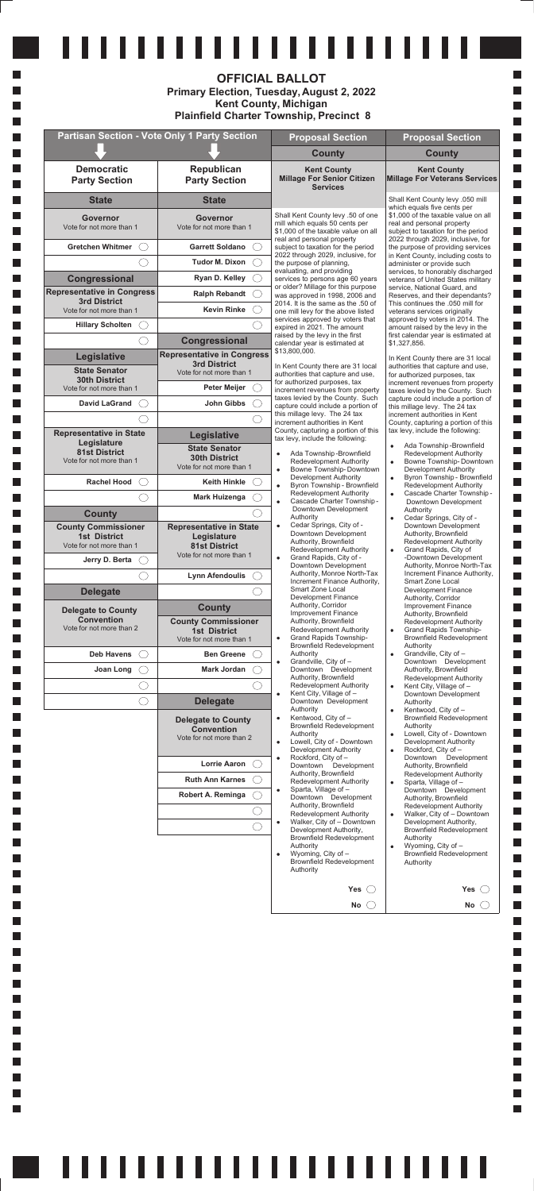| Robert A. Reminga | Sparta, Village of -<br>٠<br>Downtown Development<br>Authority, Brownfield<br>Redevelopment Authority<br>Walker, City of - Downtown<br>٠<br>Development Authority,<br><b>Brownfield Redevelopment</b><br>Authority<br>Wyoming, City of -<br>٠<br><b>Brownfield Redevelopment</b><br>Authority | Downtown Development<br>Authority, Brownfield<br><b>Redevelopment Authority</b><br>Walker, City of - Downtown<br>۰<br>Development Authority,<br><b>Brownfield Redevelopment</b><br>Authority<br>Wyoming, City of -<br>٠<br><b>Brownfield Redevelopment</b><br>Authority |
|-------------------|-----------------------------------------------------------------------------------------------------------------------------------------------------------------------------------------------------------------------------------------------------------------------------------------------|-------------------------------------------------------------------------------------------------------------------------------------------------------------------------------------------------------------------------------------------------------------------------|
|                   | <b>Yes</b>                                                                                                                                                                                                                                                                                    | Yes                                                                                                                                                                                                                                                                     |
|                   | No                                                                                                                                                                                                                                                                                            | No                                                                                                                                                                                                                                                                      |

# <u>111111111111111111111111</u>

|                                                          |                                                          | <b>OFFICIAL BALLOT</b><br><b>Primary Election, Tuesday, August 2, 2022</b><br><b>Kent County, Michigan</b><br><b>Plainfield Charter Township, Precinct 8</b> |                                                                                                         |
|----------------------------------------------------------|----------------------------------------------------------|--------------------------------------------------------------------------------------------------------------------------------------------------------------|---------------------------------------------------------------------------------------------------------|
|                                                          | <b>Partisan Section - Vote Only 1 Party Section</b>      | <b>Proposal Section</b>                                                                                                                                      | <b>Proposal Section</b>                                                                                 |
|                                                          |                                                          | <b>County</b>                                                                                                                                                | <b>County</b>                                                                                           |
| <b>Democratic</b><br><b>Party Section</b>                | Republican<br><b>Party Section</b>                       | <b>Kent County</b><br><b>Millage For Senior Citizen</b><br><b>Services</b>                                                                                   | <b>Kent County</b><br><b>Millage For Veterans Services</b>                                              |
| <b>State</b>                                             | <b>State</b>                                             |                                                                                                                                                              | Shall Kent County levy .050 mill<br>which equals five cents per                                         |
| Governor<br>Vote for not more than 1                     | Governor<br>Vote for not more than 1                     | Shall Kent County levy .50 of one<br>mill which equals 50 cents per<br>\$1,000 of the taxable value on all                                                   | \$1,000 of the taxable value on all<br>real and personal property<br>subject to taxation for the period |
| <b>Gretchen Whitmer</b>                                  | <b>Garrett Soldano</b>                                   | real and personal property<br>subject to taxation for the period                                                                                             | 2022 through 2029, inclusive, for<br>the purpose of providing services                                  |
|                                                          | <b>Tudor M. Dixon</b>                                    | 2022 through 2029, inclusive, for<br>the purpose of planning.                                                                                                | in Kent County, including costs to<br>administer or provide such                                        |
| Congressional                                            | Ryan D. Kelley                                           | evaluating, and providing<br>services to persons age 60 years                                                                                                | services, to honorably discharged<br>veterans of United States military                                 |
| <b>Representative in Congress</b><br><b>3rd District</b> | <b>Ralph Rebandt</b>                                     | or older? Millage for this purpose<br>was approved in 1998, 2006 and<br>2014. It is the same as the .50 of                                                   | service, National Guard, and<br>Reserves, and their dependants?                                         |
| Vote for not more than 1                                 | <b>Kevin Rinke</b>                                       | one mill levy for the above listed<br>services approved by voters that                                                                                       | This continues the .050 mill for<br>veterans services originally<br>approved by voters in 2014. The     |
| <b>Hillary Scholten</b>                                  |                                                          | expired in 2021. The amount<br>raised by the levy in the first                                                                                               | amount raised by the levy in the<br>first calendar year is estimated at                                 |
|                                                          | Congressional                                            | calendar year is estimated at<br>\$13,800,000.                                                                                                               | \$1,327,856.                                                                                            |
| Legislative                                              | <b>Representative in Congress</b><br><b>3rd District</b> | In Kent County there are 31 local                                                                                                                            | In Kent County there are 31 local<br>authorities that capture and use,                                  |
| <b>State Senator</b><br><b>30th District</b>             | Vote for not more than 1                                 | authorities that capture and use,<br>for authorized purposes, tax                                                                                            | for authorized purposes, tax<br>increment revenues from property                                        |
| Vote for not more than 1                                 | <b>Peter Meijer</b>                                      | increment revenues from property<br>taxes levied by the County. Such                                                                                         | taxes levied by the County. Such<br>capture could include a portion of                                  |
| <b>David LaGrand</b>                                     | <b>John Gibbs</b>                                        | capture could include a portion of<br>this millage levy. The 24 tax                                                                                          | this millage levy. The 24 tax<br>increment authorities in Kent                                          |
| <b>Representative in State</b>                           | Legislative                                              | increment authorities in Kent<br>County, capturing a portion of this                                                                                         | County, capturing a portion of this<br>tax levy, include the following:                                 |
| Legislature<br><b>81st District</b>                      | <b>State Senator</b>                                     | tax levy, include the following:                                                                                                                             | Ada Township-Brownfield<br>$\bullet$                                                                    |
| Vote for not more than 1                                 | <b>30th District</b><br>Vote for not more than 1         | Ada Township-Brownfield<br>Redevelopment Authority<br>Bowne Township-Downtown                                                                                | Redevelopment Authority<br>Bowne Township-Downtown<br>$\bullet$<br>Development Authority                |
| <b>Rachel Hood</b>                                       | <b>Keith Hinkle</b>                                      | Development Authority<br>Byron Township - Brownfield<br>$\bullet$                                                                                            | Byron Township - Brownfield<br>$\bullet$<br>Redevelopment Authority                                     |
|                                                          | <b>Mark Huizenga</b>                                     | Redevelopment Authority<br>Cascade Charter Township -<br>$\bullet$                                                                                           | Cascade Charter Township-<br>$\bullet$<br>Downtown Development                                          |
| <b>County</b>                                            |                                                          | Downtown Development<br>Authority                                                                                                                            | Authority<br>Cedar Springs, City of -<br>$\bullet$                                                      |
| <b>County Commissioner</b><br><b>1st District</b>        | <b>Representative in State</b>                           | Cedar Springs, City of -<br>$\bullet$<br>Downtown Development                                                                                                | Downtown Development<br>Authority, Brownfield                                                           |
| Vote for not more than 1                                 | Legislature<br><b>81st District</b>                      | Authority, Brownfield<br>Redevelopment Authority                                                                                                             | Redevelopment Authority<br>Grand Rapids, City of<br>$\bullet$                                           |
| Jerry D. Berta                                           | Vote for not more than 1                                 | Grand Rapids, City of -<br>$\bullet$<br>Downtown Development                                                                                                 | -Downtown Development<br>Authority, Monroe North-Tax                                                    |
|                                                          | <b>Lynn Afendoulis</b>                                   | Authority, Monroe North-Tax<br>Increment Finance Authority,                                                                                                  | Increment Finance Authority,<br>Smart Zone Local                                                        |
| <b>Delegate</b>                                          |                                                          | Smart Zone Local<br><b>Development Finance</b>                                                                                                               | Development Finance<br>Authority, Corridor                                                              |
| <b>Delegate to County</b>                                | <b>County</b>                                            | Authority, Corridor<br><b>Improvement Finance</b>                                                                                                            | Improvement Finance<br>Authority, Brownfield                                                            |
| <b>Convention</b><br>Vote for not more than 2            | <b>County Commissioner</b><br><b>1st District</b>        | Authority, Brownfield<br>Redevelopment Authority                                                                                                             | <b>Redevelopment Authority</b><br>Grand Rapids Township-<br>$\bullet$                                   |
|                                                          | Vote for not more than 1                                 | Grand Rapids Township-<br>$\bullet$<br><b>Brownfield Redevelopment</b>                                                                                       | <b>Brownfield Redevelopment</b><br>Authority                                                            |
| <b>Deb Havens</b>                                        | <b>Ben Greene</b>                                        | Authority<br>Grandville, City of -<br>$\bullet$                                                                                                              | Grandville, City of -<br>$\bullet$<br>Downtown Development                                              |
| Joan Long                                                | <b>Mark Jordan</b>                                       | Downtown Development<br>Authority, Brownfield                                                                                                                | Authority, Brownfield<br>Redevelopment Authority                                                        |
|                                                          |                                                          | Redevelopment Authority<br>Kent City, Village of -<br>$\bullet$                                                                                              | Kent City, Village of -<br>$\bullet$<br>Downtown Development                                            |
|                                                          | <b>Delegate</b>                                          | Downtown Development<br>Authority<br>Kentwood, City of -<br>$\bullet$                                                                                        | Authority<br>Kentwood, City of -<br>$\bullet$                                                           |
|                                                          | <b>Delegate to County</b><br><b>Convention</b>           | <b>Brownfield Redevelopment</b>                                                                                                                              | <b>Brownfield Redevelopment</b><br>Authority                                                            |
|                                                          | Vote for not more than 2                                 | Authority<br>Lowell, City of - Downtown<br>$\bullet$                                                                                                         | Lowell, City of - Downtown<br>$\bullet$<br>Development Authority                                        |
|                                                          | <b>Lorrie Aaron</b>                                      | Development Authority<br>Rockford, City of -<br>$\bullet$<br>Downtown Development                                                                            | Rockford, City of -<br>$\bullet$<br>Downtown<br>Development<br>Authority, Brownfield                    |
|                                                          | <b>Ruth Ann Karnes</b>                                   | Authority, Brownfield<br>Redevelopment Authority                                                                                                             | <b>Redevelopment Authority</b><br>Sparta, Village of -                                                  |
|                                                          |                                                          |                                                                                                                                                              | $\bullet$                                                                                               |

 $\mathcal{L}_{\mathcal{A}}$  $\overline{\phantom{a}}$ 

H  $\overline{\phantom{a}}$ 

H

 $\overline{\phantom{a}}$ 

m.  $\mathcal{L}_{\mathcal{A}}$ 

m.

 $\mathcal{L}_{\mathcal{A}}$ 

m.

 $\mathcal{L}_{\mathcal{A}}$ 

m.

 $\mathcal{L}_{\mathcal{A}}$ 

m.

 $\mathcal{L}_{\mathcal{A}}$ 

m.

 $\mathcal{L}_{\mathcal{A}}$ 

m.

 $\mathcal{L}_{\mathcal{A}}$ 

m.

 $\mathcal{L}_{\mathcal{A}}$ 

m.

 $\mathcal{L}_{\mathcal{A}}$ 

m.

 $\mathcal{L}_{\mathcal{A}}$ 

m.

 $\mathcal{L}_{\mathcal{A}}$ 

m.

 $\mathcal{L}_{\mathcal{A}}$ 

m.

 $\mathcal{L}_{\mathcal{A}}$ 

m.

 $\mathcal{L}_{\mathcal{A}}$ 

m.

 $\overline{\phantom{a}}$ 

m.

 $\overline{\phantom{a}}$ 

m.

 $\overline{\phantom{a}}$ 

H

H

H

H

 $\mathcal{L}_{\mathcal{A}}$ H

 $\mathcal{L}_{\mathcal{A}}$ 

L.

L.

L.

L.

L.

L.

L.

L. L.

L.

I.

L.

I. I.

m.

L.

I.

L. L.

L.

 $\frac{1}{\sqrt{1-\frac{1}{2}}}$ 

 $\mathcal{L}_{\mathcal{A}}$ 

 $\Box$  $\Box$ 

 $\Box$  $\Box$ 

 $\Box$ 

 $\Box$ 

 $\Box$ 

 $\Box$ 

 $\Box$ 

 $\Box$ 

 $\Box$ 

 $\Box$ 

 $\Box$ 

 $\Box$ 

 $\Box$ 

 $\Box$ 

 $\Box$ 

 $\Box$ 

 $\Box$ 

 $\Box$ 

 $\Box$ 

 $\Box$ 

 $\Box$ 

 $\Box$ 

 $\Box$ 

 $\Box$ 

 $\Box$ 

 $\Box$ 

 $\Box$ 

 $\Box$ 

 $\Box$ 

 $\Box$ 

 $\Box$ 

 $\Box$ 

 $\Box$ 

 $\Box$ 

 $\Box$ 

 $\Box$ 

 $\Box$ 

 $\Box$ 

 $\Box$ 

 $\Box$ 

 $\Box$  $\Box$ 

 $\mathbb{R}^n$ 

 $\Box$ **The State** 

**Contract** 

 $\Box$ 

 $\Box$ 

П

П

 $\Box$ 

П

П  $\Box$ 

П

 $\Box$ 

 $\Box$ 

I.

П  $\Box$ 

 $\Box$ 

П

П П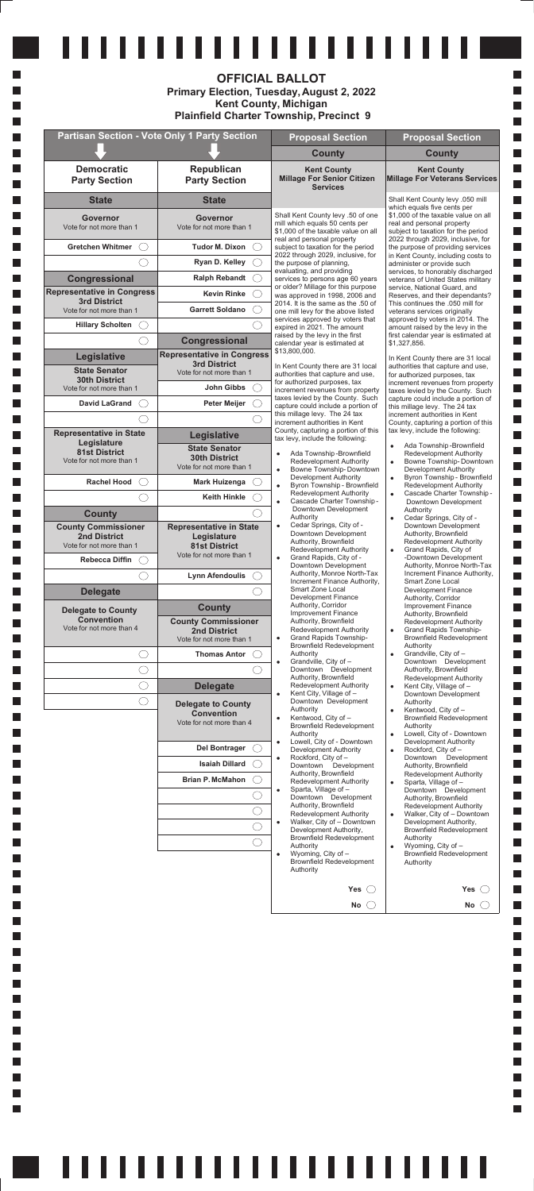|                                                          |                                                          | ,,,,,,,,,,,,,,,,,,,,<br><b>OFFICIAL BALLOT</b><br><b>Primary Election, Tuesday, August 2, 2022</b><br><b>Kent County, Michigan</b><br><b>Plainfield Charter Township, Precinct 9</b> |                                                                                                                             |
|----------------------------------------------------------|----------------------------------------------------------|--------------------------------------------------------------------------------------------------------------------------------------------------------------------------------------|-----------------------------------------------------------------------------------------------------------------------------|
|                                                          | <b>Partisan Section - Vote Only 1 Party Section</b>      | <b>Proposal Section</b>                                                                                                                                                              | <b>Proposal Section</b>                                                                                                     |
|                                                          |                                                          | <b>County</b>                                                                                                                                                                        | <b>County</b>                                                                                                               |
| <b>Democratic</b><br><b>Party Section</b>                | <b>Republican</b><br><b>Party Section</b>                | <b>Kent County</b><br><b>Millage For Senior Citizen</b><br><b>Services</b>                                                                                                           | <b>Kent County</b><br><b>Millage For Veterans Services</b>                                                                  |
| <b>State</b>                                             | <b>State</b>                                             |                                                                                                                                                                                      | Shall Kent County levy .050 mill<br>which equals five cents per                                                             |
| Governor<br>Vote for not more than 1                     | Governor<br>Vote for not more than 1                     | Shall Kent County levy .50 of one<br>mill which equals 50 cents per<br>\$1,000 of the taxable value on all                                                                           | \$1,000 of the taxable value on all<br>real and personal property<br>subject to taxation for the period                     |
| <b>Gretchen Whitmer</b>                                  | <b>Tudor M. Dixon</b>                                    | real and personal property<br>subject to taxation for the period                                                                                                                     | 2022 through 2029, inclusive, for<br>the purpose of providing services                                                      |
|                                                          | Ryan D. Kelley                                           | 2022 through 2029, inclusive, for<br>the purpose of planning,                                                                                                                        | in Kent County, including costs to<br>administer or provide such                                                            |
| Congressional                                            | <b>Ralph Rebandt</b>                                     | evaluating, and providing<br>services to persons age 60 years                                                                                                                        | services, to honorably discharged<br>veterans of United States military                                                     |
| <b>Representative in Congress</b><br><b>3rd District</b> | <b>Kevin Rinke</b>                                       | or older? Millage for this purpose<br>was approved in 1998, 2006 and                                                                                                                 | service, National Guard, and<br>Reserves, and their dependants?                                                             |
| Vote for not more than 1                                 | <b>Garrett Soldano</b>                                   | 2014. It is the same as the .50 of<br>one mill levy for the above listed                                                                                                             | This continues the .050 mill for<br>veterans services originally                                                            |
| <b>Hillary Scholten</b>                                  |                                                          | services approved by voters that<br>expired in 2021. The amount<br>raised by the levy in the first                                                                                   | approved by voters in 2014. The<br>amount raised by the levy in the                                                         |
|                                                          | Congressional                                            | calendar year is estimated at<br>\$13,800,000.                                                                                                                                       | first calendar year is estimated at<br>\$1,327,856.                                                                         |
| Legislative                                              | <b>Representative in Congress</b><br><b>3rd District</b> | In Kent County there are 31 local                                                                                                                                                    | In Kent County there are 31 local<br>authorities that capture and use,                                                      |
| <b>State Senator</b><br><b>30th District</b>             | Vote for not more than 1                                 | authorities that capture and use,<br>for authorized purposes, tax                                                                                                                    | for authorized purposes, tax<br>increment revenues from property                                                            |
| Vote for not more than 1                                 | John Gibbs                                               | increment revenues from property<br>taxes levied by the County. Such                                                                                                                 | taxes levied by the County. Such<br>capture could include a portion of                                                      |
| <b>David LaGrand</b>                                     | <b>Peter Meijer</b>                                      | capture could include a portion of<br>this millage levy. The 24 tax                                                                                                                  | this millage levy. The 24 tax<br>increment authorities in Kent                                                              |
| <b>Representative in State</b>                           |                                                          | increment authorities in Kent<br>County, capturing a portion of this                                                                                                                 | County, capturing a portion of this<br>tax levy, include the following:                                                     |
| Legislature                                              | Legislative<br><b>State Senator</b>                      | tax levy, include the following:                                                                                                                                                     | Ada Township-Brownfield<br>$\bullet$                                                                                        |
| <b>81st District</b><br>Vote for not more than 1         | <b>30th District</b><br>Vote for not more than 1         | Ada Township-Brownfield<br><b>Redevelopment Authority</b><br>Bowne Township-Downtown<br>$\bullet$                                                                                    | <b>Redevelopment Authority</b><br>Bowne Township-Downtown<br>$\bullet$<br>Development Authority                             |
| <b>Rachel Hood</b>                                       | <b>Mark Huizenga</b>                                     | Development Authority<br>Byron Township - Brownfield<br>$\bullet$<br><b>Redevelopment Authority</b>                                                                                  | Byron Township - Brownfield<br>$\bullet$<br>Redevelopment Authority                                                         |
|                                                          | <b>Keith Hinkle</b>                                      | Cascade Charter Township -<br>$\bullet$<br>Downtown Development                                                                                                                      | Cascade Charter Township-<br>$\bullet$<br>Downtown Development                                                              |
| <b>County</b>                                            |                                                          | Authority<br>Cedar Springs, City of -                                                                                                                                                | Authority<br>Cedar Springs, City of -<br>$\bullet$                                                                          |
| <b>County Commissioner</b><br><b>2nd District</b>        | <b>Representative in State</b><br>Legislature            | Downtown Development<br>Authority, Brownfield                                                                                                                                        | Downtown Development<br>Authority, Brownfield<br><b>Redevelopment Authority</b>                                             |
| Vote for not more than 1                                 | <b>81st District</b><br>Vote for not more than 1         | Redevelopment Authority<br>Grand Rapids, City of -                                                                                                                                   | Grand Rapids, City of<br>$\bullet$<br>-Downtown Development                                                                 |
| <b>Rebecca Diffin</b>                                    |                                                          | Downtown Development<br>Authority, Monroe North-Tax                                                                                                                                  | Authority, Monroe North-Tax<br>Increment Finance Authority,                                                                 |
| <b>Delegate</b>                                          | <b>Lynn Afendoulis</b>                                   | Increment Finance Authority,<br>Smart Zone Local                                                                                                                                     | Smart Zone Local<br>Development Finance                                                                                     |
|                                                          | <b>County</b>                                            | <b>Development Finance</b><br>Authority, Corridor                                                                                                                                    | Authority, Corridor<br>Improvement Finance                                                                                  |
| <b>Delegate to County</b><br><b>Convention</b>           | <b>County Commissioner</b>                               | Improvement Finance<br>Authority, Brownfield                                                                                                                                         | Authority, Brownfield<br><b>Redevelopment Authority</b>                                                                     |
| Vote for not more than 4                                 | <b>2nd District</b><br>Vote for not more than 1          | Redevelopment Authority<br>Grand Rapids Township-<br>$\bullet$                                                                                                                       | Grand Rapids Township-<br>$\bullet$<br><b>Brownfield Redevelopment</b>                                                      |
|                                                          | <b>Thomas Antor</b>                                      | <b>Brownfield Redevelopment</b><br>Authority                                                                                                                                         | Authority<br>Grandville, City of -<br>$\bullet$                                                                             |
|                                                          |                                                          | Grandville, City of -<br>$\bullet$<br>Downtown Development                                                                                                                           | Downtown Development<br>Authority, Brownfield                                                                               |
| $\mathcal{L}$                                            | <b>Delegate</b>                                          | Authority, Brownfield<br>Redevelopment Authority                                                                                                                                     | <b>Redevelopment Authority</b><br>Kent City, Village of -<br>$\bullet$                                                      |
| $\overline{\phantom{a}}$                                 | <b>Delegate to County</b>                                | Kent City, Village of -<br>$\bullet$<br>Downtown Development                                                                                                                         | Downtown Development<br>Authority                                                                                           |
|                                                          | <b>Convention</b><br>Vote for not more than 4            | Authority<br>Kentwood, City of -<br>$\bullet$<br>Brownfield Redevelopment<br>Authority                                                                                               | Kentwood, City of -<br>$\bullet$<br><b>Brownfield Redevelopment</b><br>Authority<br>Lowell, City of - Downtown<br>$\bullet$ |
|                                                          | <b>Del Bontrager</b>                                     | Lowell, City of - Downtown<br>$\bullet$<br>Development Authority                                                                                                                     | Development Authority<br>Rockford, City of -<br>$\bullet$                                                                   |
|                                                          | <b>Isaiah Dillard</b>                                    | Rockford, City of -<br>$\bullet$<br>Downtown Development                                                                                                                             | Downtown Development<br>Authority, Brownfield                                                                               |
|                                                          | <b>Brian P. McMahon</b>                                  | Authority, Brownfield<br>Redevelopment Authority                                                                                                                                     | <b>Redevelopment Authority</b><br>Sparta Village of -                                                                       |

H

H

L.

H H

H

H

m. H

H

H

m. H

H H

m. H

H H

m.

H

H

H

m.

H

H H

m. H

П

H

m.

H

П

H

H H

H

H

H

L.

H

L.

L

m. L.

 $\mathcal{L}_{\mathcal{A}}$ 

L.

L.

L.

L.

L.

L.

L.

L. L.

L.

I.

L.

I. L.

m.

L.

L.

L.

I.

H

 $\overline{\phantom{a}}$ 

 $\Box$ 

 $\Box$ 

 $\Box$ 

 $\Box$  $\Box$ 

 $\Box$ 

 $\Box$ 

 $\Box$ 

 $\Box$ 

 $\Box$  $\Box$ 

П П

П П

П П

П

П

 $\mathbb{R}^n$ 

П

П

П

 $\mathbb{R}^n$ П

П  $\Box$ 

П

 $\Box$ 

П

П

П

 $\Box$ 

П  $\Box$ 

П

 $\Box$ 

 $\Box$ 

 $\Box$ 

П

П П

 $\Box$ 

 $\Box$ 

 $\mathbb{R}^n$ 

 $\mathbb{R}^n$  $\Box$ 

 $\Box$ 

П

 $\Box$ 

 $\Box$ 

П

П

 $\Box$ 

П П

П

 $\Box$ 

 $\Box$ 

П

П  $\Box$ 

П

П

П

 $\overline{\phantom{a}}$ 

| <b>DITAIL F. MCMATION</b> | Redevelopment Authority<br>Sparta, Village of -<br>٠<br>Downtown Development<br>Authority, Brownfield<br>Redevelopment Authority<br>Walker, City of - Downtown<br>٠<br>Development Authority,<br><b>Brownfield Redevelopment</b><br>Authority<br>Wyoming, City of -<br>٠<br><b>Brownfield Redevelopment</b><br>Authority | Sparta, Village of -<br>٠<br>Downtown Development<br>Authority, Brownfield<br><b>Redevelopment Authority</b><br>Walker, City of - Downtown<br>٠<br>Development Authority,<br><b>Brownfield Redevelopment</b><br>Authority<br>Wyoming, City of -<br>۰<br><b>Brownfield Redevelopment</b><br>Authority |
|---------------------------|--------------------------------------------------------------------------------------------------------------------------------------------------------------------------------------------------------------------------------------------------------------------------------------------------------------------------|------------------------------------------------------------------------------------------------------------------------------------------------------------------------------------------------------------------------------------------------------------------------------------------------------|
|                           | Yes                                                                                                                                                                                                                                                                                                                      | <b>Yes</b>                                                                                                                                                                                                                                                                                           |
|                           | <b>No</b>                                                                                                                                                                                                                                                                                                                | No.                                                                                                                                                                                                                                                                                                  |

### <u>111111111111111111111111</u>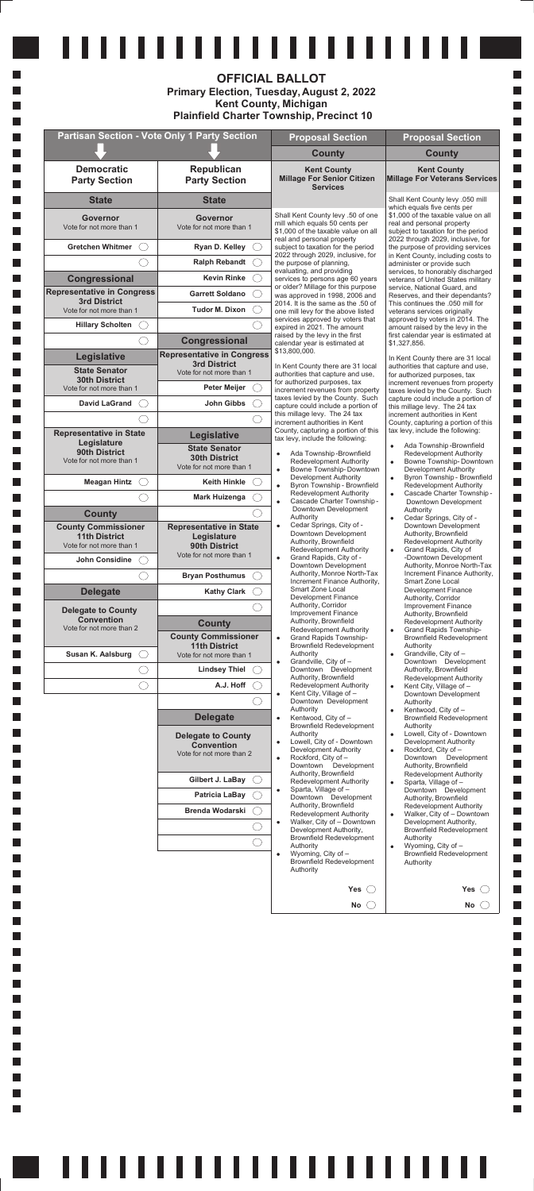| Patricia LaBay<br><b>Brenda Wodarski</b> | Sparta, Village of -<br>٠<br>Downtown Development<br>Authority, Brownfield<br>Redevelopment Authority<br>Walker, City of - Downtown<br>٠<br>Development Authority,<br><b>Brownfield Redevelopment</b><br>Authority<br>Wyoming, City of -<br>٠<br><b>Brownfield Redevelopment</b><br>Authority | Downtown Development<br>Authority, Brownfield<br>Redevelopment Authority<br>Walker, City of - Downtown<br>Development Authority,<br><b>Brownfield Redevelopment</b><br>Authority<br>Wyoming, City of -<br>٠<br><b>Brownfield Redevelopment</b><br>Authority |
|------------------------------------------|-----------------------------------------------------------------------------------------------------------------------------------------------------------------------------------------------------------------------------------------------------------------------------------------------|-------------------------------------------------------------------------------------------------------------------------------------------------------------------------------------------------------------------------------------------------------------|
|                                          | Yes(                                                                                                                                                                                                                                                                                          | Yes                                                                                                                                                                                                                                                         |
|                                          | No l                                                                                                                                                                                                                                                                                          | No                                                                                                                                                                                                                                                          |

# 

|                                                          |                                                          | <b>OFFICIAL BALLOT</b><br><b>Primary Election, Tuesday, August 2, 2022</b><br><b>Kent County, Michigan</b><br><b>Plainfield Charter Township, Precinct 10</b> |                                                                                                                     |
|----------------------------------------------------------|----------------------------------------------------------|---------------------------------------------------------------------------------------------------------------------------------------------------------------|---------------------------------------------------------------------------------------------------------------------|
|                                                          | Partisan Section - Vote Only 1 Party Section             | <b>Proposal Section</b>                                                                                                                                       | <b>Proposal Section</b>                                                                                             |
|                                                          |                                                          | <b>County</b>                                                                                                                                                 | <b>County</b>                                                                                                       |
| <b>Democratic</b><br><b>Party Section</b>                | Republican<br><b>Party Section</b>                       | <b>Kent County</b><br><b>Millage For Senior Citizen</b><br><b>Services</b>                                                                                    | <b>Kent County</b><br><b>Millage For Veterans Services</b>                                                          |
| <b>State</b>                                             | <b>State</b>                                             |                                                                                                                                                               | Shall Kent County levy .050 mill<br>which equals five cents per                                                     |
| Governor<br>Vote for not more than 1                     | <b>Governor</b><br>Vote for not more than 1              | Shall Kent County levy .50 of one<br>mill which equals 50 cents per<br>\$1,000 of the taxable value on all                                                    | \$1,000 of the taxable value on all<br>real and personal property<br>subject to taxation for the period             |
| <b>Gretchen Whitmer</b>                                  | Ryan D. Kelley                                           | real and personal property<br>subject to taxation for the period                                                                                              | 2022 through 2029, inclusive, for<br>the purpose of providing services                                              |
|                                                          | <b>Ralph Rebandt</b>                                     | 2022 through 2029, inclusive, for<br>the purpose of planning,                                                                                                 | in Kent County, including costs to<br>administer or provide such                                                    |
| Congressional                                            | <b>Kevin Rinke</b>                                       | evaluating, and providing<br>services to persons age 60 years<br>or older? Millage for this purpose                                                           | services, to honorably discharged<br>veterans of United States military                                             |
| <b>Representative in Congress</b><br><b>3rd District</b> | <b>Garrett Soldano</b>                                   | was approved in 1998, 2006 and<br>2014. It is the same as the .50 of                                                                                          | service, National Guard, and<br>Reserves, and their dependants?<br>This continues the .050 mill for                 |
| Vote for not more than 1                                 | <b>Tudor M. Dixon</b>                                    | one mill levy for the above listed<br>services approved by voters that                                                                                        | veterans services originally<br>approved by voters in 2014. The                                                     |
| <b>Hillary Scholten</b>                                  |                                                          | expired in 2021. The amount<br>raised by the levy in the first                                                                                                | amount raised by the levy in the<br>first calendar year is estimated at                                             |
|                                                          | Congressional                                            | calendar year is estimated at<br>\$13,800,000.                                                                                                                | \$1,327,856.                                                                                                        |
| Legislative                                              | <b>Representative in Congress</b><br><b>3rd District</b> | In Kent County there are 31 local                                                                                                                             | In Kent County there are 31 local<br>authorities that capture and use,                                              |
| <b>State Senator</b><br><b>30th District</b>             | Vote for not more than 1                                 | authorities that capture and use,<br>for authorized purposes, tax                                                                                             | for authorized purposes, tax<br>increment revenues from property                                                    |
| Vote for not more than 1<br><b>David LaGrand</b>         | <b>Peter Meijer</b>                                      | increment revenues from property<br>taxes levied by the County. Such                                                                                          | taxes levied by the County. Such<br>capture could include a portion of                                              |
|                                                          | John Gibbs                                               | capture could include a portion of<br>this millage levy. The 24 tax                                                                                           | this millage levy. The 24 tax<br>increment authorities in Kent                                                      |
| <b>Representative in State</b>                           | Legislative                                              | increment authorities in Kent<br>County, capturing a portion of this                                                                                          | County, capturing a portion of this<br>tax levy, include the following:                                             |
| Legislature<br>90th District                             | <b>State Senator</b>                                     | tax levy, include the following:<br>Ada Township-Brownfield                                                                                                   | Ada Township-Brownfield<br>$\bullet$                                                                                |
| Vote for not more than 1                                 | <b>30th District</b><br>Vote for not more than 1         | $\bullet$<br><b>Redevelopment Authority</b><br>Bowne Township-Downtown<br>$\bullet$                                                                           | <b>Redevelopment Authority</b><br>Bowne Township-Downtown<br>$\bullet$<br><b>Development Authority</b>              |
| <b>Meagan Hintz</b><br>$($ )                             | <b>Keith Hinkle</b>                                      | Development Authority<br>Byron Township - Brownfield<br>$\bullet$                                                                                             | Byron Township - Brownfield<br>$\bullet$<br><b>Redevelopment Authority</b>                                          |
|                                                          | <b>Mark Huizenga</b>                                     | <b>Redevelopment Authority</b><br>Cascade Charter Township -<br>$\bullet$                                                                                     | Cascade Charter Township -<br>$\bullet$<br>Downtown Development                                                     |
| <b>County</b>                                            |                                                          | Downtown Development<br>Authority                                                                                                                             | Authority<br>Cedar Springs, City of -<br>$\bullet$                                                                  |
| <b>County Commissioner</b><br><b>11th District</b>       | <b>Representative in State</b><br>Legislature            | Cedar Springs, City of -<br>$\bullet$<br>Downtown Development                                                                                                 | Downtown Development<br>Authority, Brownfield                                                                       |
| Vote for not more than 1                                 | 90th District                                            | Authority, Brownfield<br>Redevelopment Authority                                                                                                              | Redevelopment Authority<br>Grand Rapids, City of<br>$\bullet$                                                       |
| John Considine                                           | Vote for not more than 1                                 | Grand Rapids, City of -<br>$\bullet$<br>Downtown Development                                                                                                  | -Downtown Development<br>Authority, Monroe North-Tax                                                                |
|                                                          | <b>Bryan Posthumus</b>                                   | Authority, Monroe North-Tax<br>Increment Finance Authority,                                                                                                   | Increment Finance Authority,<br><b>Smart Zone Local</b>                                                             |
| <b>Delegate</b>                                          | <b>Kathy Clark</b>                                       | Smart Zone Local<br><b>Development Finance</b>                                                                                                                | Development Finance<br>Authority, Corridor                                                                          |
| <b>Delegate to County</b><br><b>Convention</b>           |                                                          | Authority, Corridor<br><b>Improvement Finance</b>                                                                                                             | <b>Improvement Finance</b><br>Authority, Brownfield                                                                 |
| Vote for not more than 2                                 | <b>County</b>                                            | Authority, Brownfield<br><b>Redevelopment Authority</b>                                                                                                       | <b>Redevelopment Authority</b><br><b>Grand Rapids Township-</b><br>$\bullet$                                        |
|                                                          | <b>County Commissioner</b><br><b>11th District</b>       | <b>Grand Rapids Township-</b><br>$\bullet$<br><b>Brownfield Redevelopment</b>                                                                                 | <b>Brownfield Redevelopment</b><br>Authority                                                                        |
| Susan K. Aalsburg                                        | Vote for not more than 1                                 | Authority<br>Grandville, City of -<br>$\bullet$<br>Downtown Development                                                                                       | Grandville, City of -<br>$\bullet$<br>Downtown Development                                                          |
|                                                          | <b>Lindsey Thiel</b><br>A.J. Hoff                        | Authority, Brownfield<br>Redevelopment Authority                                                                                                              | Authority, Brownfield<br>Redevelopment Authority<br>Kent City, Village of -<br>$\bullet$                            |
|                                                          |                                                          | Kent City, Village of -<br>$\bullet$<br>Downtown Development                                                                                                  | Downtown Development<br>Authority                                                                                   |
|                                                          | <b>Delegate</b>                                          | Authority<br>Kentwood, City of -<br>$\bullet$                                                                                                                 | Kentwood, City of -<br>$\bullet$<br><b>Brownfield Redevelopment</b>                                                 |
|                                                          | <b>Delegate to County</b><br><b>Convention</b>           | <b>Brownfield Redevelopment</b><br>Authority<br>Lowell, City of - Downtown<br>$\bullet$                                                                       | Authority<br>Lowell, City of - Downtown<br>$\bullet$<br>Development Authority                                       |
|                                                          | Vote for not more than 2                                 | Development Authority<br>Rockford, City of -<br>$\bullet$<br>Downtown Development<br>Authority, Brownfield                                                    | Rockford, City of -<br>$\bullet$<br>Downtown Development<br>Authority, Brownfield<br><b>Redevelopment Authority</b> |
|                                                          | Gilbert J. LaBay                                         | <b>Redevelopment Authority</b>                                                                                                                                | Sparta, Village of -<br>$\bullet$                                                                                   |

 $\mathcal{L}_{\mathcal{A}}$  $\Box$ 

 $\Box$ 

 $\Box$  $\overline{\phantom{a}}$ 

 $\Box$ 

 $\Box$ 

 $\overline{\phantom{a}}$ 

 $\Box$ 

 $\Box$ 

 $\Box$ 

 $\Box$ 

 $\Box$ 

П

 $\Box$ 

 $\Box$ 

 $\Box$ 

 $\Box$ 

 $\Box$ 

 $\Box$ 

 $\Box$ 

 $\Box$ 

 $\Box$ 

 $\Box$ 

 $\Box$ 

 $\Box$ 

 $\Box$ 

 $\Box$ 

 $\Box$ 

 $\Box$ 

 $\Box$ 

 $\Box$ 

 $\Box$ 

 $\Box$ 

 $\Box$ 

 $\Box$ 

 $\Box$ 

 $\Box$ 

 $\Box$ 

П П

 $\Box$  $\Box$ 

 $\Box$ 

 $\overline{\phantom{a}}$ 

 $\Box$ 

 $\Box$ I.

**Contract** 

 $\Box$ 

**Contract** 

I. **Contract** 

П

**Contract** 

I.

**Contract** П

**Contract** 

I. **Contract** 

П

**Contract** 

 $\Box$ 

 $\Box$ 

П П

 $\blacksquare$ 

 $\mathcal{L}_{\mathcal{A}}$ 

H  $\mathcal{L}_{\mathcal{A}}$ 

 $\mathcal{L}_{\mathcal{A}}$ 

 $\mathcal{L}_{\mathcal{A}}$ 

 $\mathcal{L}_{\mathcal{A}}$ 

 $\mathcal{L}_{\mathcal{A}}$  $\mathcal{L}_{\mathcal{A}}$ 

 $\mathcal{L}_{\mathcal{A}}$ 

 $\mathcal{L}_{\mathcal{A}}$ 

 $\mathcal{L}_{\mathcal{A}}$ 

 $\mathcal{L}_{\mathcal{A}}$ 

 $\mathcal{L}_{\mathcal{A}}$ 

 $\mathcal{L}_{\mathcal{A}}$ 

 $\mathcal{L}_{\mathcal{A}}$ 

 $\mathcal{L}_{\mathcal{A}}$ 

 $\mathcal{L}_{\mathcal{A}}$ 

 $\mathcal{L}_{\mathcal{A}}$ 

 $\mathcal{L}_{\mathcal{A}}$ 

 $\mathcal{L}_{\mathcal{A}}$ 

 $\mathcal{L}_{\mathcal{A}}$ 

 $\mathcal{L}_{\mathcal{A}}$ 

 $\mathcal{L}_{\mathcal{A}}$ 

 $\mathcal{L}_{\mathcal{A}}$ 

 $\mathcal{L}_{\mathcal{A}}$ 

 $\mathcal{L}_{\mathcal{A}}$ 

 $\mathcal{L}_{\mathcal{A}}$ 

 $\mathcal{L}_{\mathcal{A}}$ 

 $\mathcal{L}_{\mathcal{A}}$ 

 $\mathcal{L}_{\mathcal{A}}$ 

 $\mathcal{L}_{\mathcal{A}}$ 

 $\mathcal{L}_{\mathcal{A}}$ 

 $\mathcal{L}_{\mathcal{A}}$ 

 $\mathcal{L}_{\mathcal{A}}$ 

 $\mathcal{L}_{\mathcal{A}}$ 

 $\mathcal{L}_{\mathcal{A}}$ 

 $\mathcal{L}_{\mathcal{A}}$ 

 $\mathcal{L}_{\mathcal{A}}$ 

 $\mathcal{L}_{\mathcal{A}}$ 

П  $\mathcal{L}_{\mathcal{A}}$ 

m.

H

 $\mathcal{L}_{\mathcal{A}}$ I.

 $\mathcal{L}_{\mathcal{A}}$ 

L.

L.

L.

L. L.

L.

L.

L. L.

L.

L.

L. L.

L.

L.

L.

L.

L. L.

L.